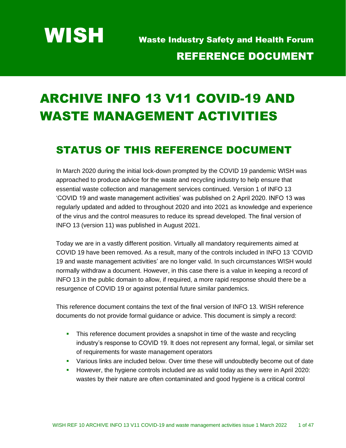WISH Waste Industry Safety and Health Forum REFERENCE DOCUMENT

# ARCHIVE INFO 13 V11 COVID-19 AND WASTE MANAGEMENT ACTIVITIES

## STATUS OF THIS REFERENCE DOCUMENT

In March 2020 during the initial lock-down prompted by the COVID 19 pandemic WISH was approached to produce advice for the waste and recycling industry to help ensure that essential waste collection and management services continued. Version 1 of INFO 13 'COVID 19 and waste management activities' was published on 2 April 2020. INFO 13 was regularly updated and added to throughout 2020 and into 2021 as knowledge and experience of the virus and the control measures to reduce its spread developed. The final version of INFO 13 (version 11) was published in August 2021.

Today we are in a vastly different position. Virtually all mandatory requirements aimed at COVID 19 have been removed. As a result, many of the controls included in INFO 13 'COVID 19 and waste management activities' are no longer valid. In such circumstances WISH would normally withdraw a document. However, in this case there is a value in keeping a record of INFO 13 in the public domain to allow, if required, a more rapid response should there be a resurgence of COVID 19 or against potential future similar pandemics.

This reference document contains the text of the final version of INFO 13. WISH reference documents do not provide formal guidance or advice. This document is simply a record:

- **•** This reference document provides a snapshot in time of the waste and recycling industry's response to COVID 19. It does not represent any formal, legal, or similar set of requirements for waste management operators
- **EXEDENT Various links are included below. Over time these will undoubtedly become out of date**
- **■** However, the hygiene controls included are as valid today as they were in April 2020: wastes by their nature are often contaminated and good hygiene is a critical control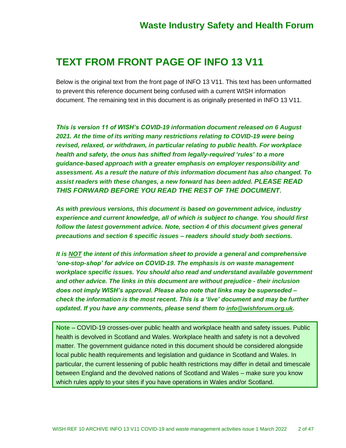## **TEXT FROM FRONT PAGE OF INFO 13 V11**

Below is the original text from the front page of INFO 13 V11. This text has been unformatted to prevent this reference document being confused with a current WISH information document. The remaining text in this document is as originally presented in INFO 13 V11.

*This is version 11 of WISH's COVID-19 information document released on 6 August 2021. At the time of its writing many restrictions relating to COVID-19 were being revised, relaxed, or withdrawn, in particular relating to public health. For workplace health and safety, the onus has shifted from legally-required 'rules' to a more guidance-based approach with a greater emphasis on employer responsibility and assessment. As a result the nature of this information document has also changed. To assist readers with these changes, a new forward has been added. PLEASE READ THIS FORWARD BEFORE YOU READ THE REST OF THE DOCUMENT.*

*As with previous versions, this document is based on government advice, industry experience and current knowledge, all of which is subject to change. You should first*  follow the latest government advice. Note, section 4 of this document gives general *precautions and section 6 specific issues – readers should study both sections.*

*It is NOT the intent of this information sheet to provide a general and comprehensive 'one-stop-shop' for advice on COVID-19. The emphasis is on waste management workplace specific issues. You should also read and understand available government and other advice. The links in this document are without prejudice - their inclusion does not imply WISH's approval. Please also note that links may be superseded – check the information is the most recent. This is a 'live' document and may be further updated. If you have any comments, please send them to [info@wishforum.org.uk](mailto:info@wishforum.org.uk).*

**Note** – COVID-19 crosses-over public health and workplace health and safety issues. Public health is devolved in Scotland and Wales. Workplace health and safety is not a devolved matter. The government guidance noted in this document should be considered alongside local public health requirements and legislation and guidance in Scotland and Wales. In particular, the current lessening of public health restrictions may differ in detail and timescale between England and the devolved nations of Scotland and Wales – make sure you know which rules apply to your sites if you have operations in Wales and/or Scotland.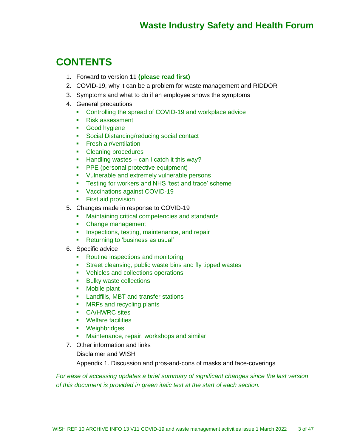## **CONTENTS**

- 1. Forward to version 11 **(please read first)**
- 2. COVID-19, why it can be a problem for waste management and RIDDOR
- 3. Symptoms and what to do if an employee shows the symptoms
- 4. General precautions
	- Controlling the spread of COVID-19 and workplace advice
	- Risk assessment
	- Good hygiene
	- Social Distancing/reducing social contact
	- **•** Fresh air/ventilation
	- Cleaning procedures
	- $\blacksquare$  Handling wastes can I catch it this way?
	- **PPE** (personal protective equipment)
	- Vulnerable and extremely vulnerable persons
	- **EXECT:** Testing for workers and NHS 'test and trace' scheme
	- Vaccinations against COVID-19
	- First aid provision
- 5. Changes made in response to COVID-19
	- Maintaining critical competencies and standards
	- Change management
	- **EXEDENT** Inspections, testing, maintenance, and repair
	- Returning to 'business as usual'
- 6. Specific advice
	- Routine inspections and monitoring
	- Street cleansing, public waste bins and fly tipped wastes
	- Vehicles and collections operations
	- Bulky waste collections
	- Mobile plant
	- **EXECUTE:** Landfills, MBT and transfer stations
	- MRFs and recycling plants
	- CA/HWRC sites
	- Welfare facilities
	- Weighbridges
	- Maintenance, repair, workshops and similar
- 7. Other information and links
	- Disclaimer and WISH

Appendix 1. Discussion and pros-and-cons of masks and face-coverings

*For ease of accessing updates a brief summary of significant changes since the last version of this document is provided in green italic text at the start of each section.*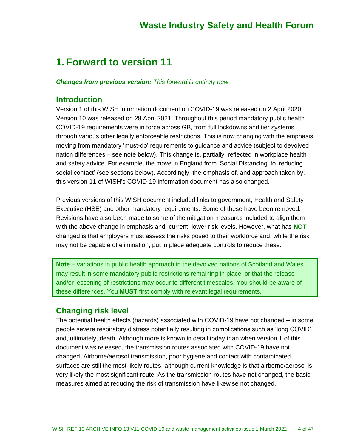## **1. Forward to version 11**

*Changes from previous version: This forward is entirely new.*

#### **Introduction**

Version 1 of this WISH information document on COVID-19 was released on 2 April 2020. Version 10 was released on 28 April 2021. Throughout this period mandatory public health COVID-19 requirements were in force across GB, from full lockdowns and tier systems through various other legally enforceable restrictions. This is now changing with the emphasis moving from mandatory 'must-do' requirements to guidance and advice (subject to devolved nation differences – see note below). This change is, partially, reflected in workplace health and safety advice. For example, the move in England from 'Social Distancing' to 'reducing social contact' (see sections below). Accordingly, the emphasis of, and approach taken by, this version 11 of WISH's COVID-19 information document has also changed.

Previous versions of this WISH document included links to government, Health and Safety Executive (HSE) and other mandatory requirements. Some of these have been removed. Revisions have also been made to some of the mitigation measures included to align them with the above change in emphasis and, current, lower risk levels. However, what has **NOT** changed is that employers must assess the risks posed to their workforce and, while the risk may not be capable of elimination, put in place adequate controls to reduce these.

**Note** – variations in public health approach in the devolved nations of Scotland and Wales may result in some mandatory public restrictions remaining in place, or that the release and/or lessening of restrictions may occur to different timescales. You should be aware of these differences. You **MUST** first comply with relevant legal requirements.

### **Changing risk level**

The potential health effects (hazards) associated with COVID-19 have not changed – in some people severe respiratory distress potentially resulting in complications such as 'long COVID' and, ultimately, death. Although more is known in detail today than when version 1 of this document was released, the transmission routes associated with COVID-19 have not changed. Airborne/aerosol transmission, poor hygiene and contact with contaminated surfaces are still the most likely routes, although current knowledge is that airborne/aerosol is very likely the most significant route. As the transmission routes have not changed, the basic measures aimed at reducing the risk of transmission have likewise not changed.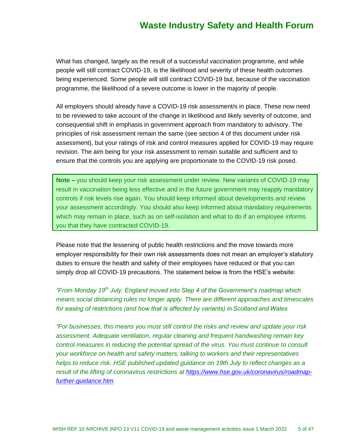What has changed, largely as the result of a successful vaccination programme, and while people will still contract COVID-19, is the likelihood and severity of these health outcomes being experienced. Some people will still contract COVID-19 but, because of the vaccination programme, the likelihood of a severe outcome is lower in the majority of people.

All employers should already have a COVID-19 risk assessment/s in place. These now need to be reviewed to take account of the change in likelihood and likely severity of outcome, and consequential shift in emphasis in government approach from mandatory to advisory. The principles of risk assessment remain the same (see section 4 of this document under risk assessment), but your ratings of risk and control measures applied for COVID-19 may require revision. The aim being for your risk assessment to remain suitable and sufficient and to ensure that the controls you are applying are proportionate to the COVID-19 risk posed.

**Note** – you should keep your risk assessment under review. New variants of COVID-19 may result in vaccination being less effective and in the future government may reapply mandatory controls if risk levels rise again. You should keep informed about developments and review your assessment accordingly. You should also keep informed about mandatory requirements which may remain in place, such as on self-isolation and what to do if an employee informs you that they have contracted COVID-19.

Please note that the lessening of public health restrictions and the move towards more employer responsibility for their own risk assessments does not mean an employer's statutory duties to ensure the health and safety of their employees have reduced or that you can simply drop all COVID-19 precautions. The statement below is from the HSE's website:

*"From Monday 19th July, England moved into Step 4 of the Government's roadmap which means social distancing rules no longer apply. There are different approaches and timescales for easing of restrictions (and how that is affected by variants) in Scotland and Wales*

*"For businesses, this means you must still control the risks and review and update your risk assessment. Adequate ventilation, regular cleaning and frequent handwashing remain key control measures in reducing the potential spread of the virus. You must continue to consult your workforce on health and safety matters, talking to workers and their representatives helps to reduce risk. HSE published updated guidance on 19th July to reflect changes as a result of the lifting of coronavirus restrictions at [https://www.hse.gov.uk/coronavirus/roadmap](https://www.hse.gov.uk/coronavirus/roadmap-further-guidance.htm)[further-guidance.htm.](https://www.hse.gov.uk/coronavirus/roadmap-further-guidance.htm)*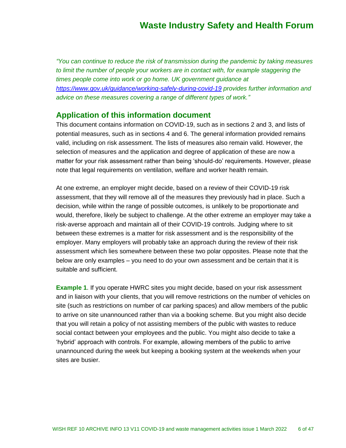*"You can continue to reduce the risk of transmission during the pandemic by taking measures*  to limit the number of people your workers are in contact with, for example staggering the *times people come into work or go home. UK government guidance at <https://www.gov.uk/guidance/working-safely-during-covid-19> provides further information and advice on these measures covering a range of different types of work."*

### **Application of this information document**

This document contains information on COVID-19, such as in sections 2 and 3, and lists of potential measures, such as in sections 4 and 6. The general information provided remains valid, including on risk assessment. The lists of measures also remain valid. However, the selection of measures and the application and degree of application of these are now a matter for your risk assessment rather than being 'should-do' requirements. However, please note that legal requirements on ventilation, welfare and worker health remain.

At one extreme, an employer might decide, based on a review of their COVID-19 risk assessment, that they will remove all of the measures they previously had in place. Such a decision, while within the range of possible outcomes, is unlikely to be proportionate and would, therefore, likely be subject to challenge. At the other extreme an employer may take a risk-averse approach and maintain all of their COVID-19 controls. Judging where to sit between these extremes is a matter for risk assessment and is the responsibility of the employer. Many employers will probably take an approach during the review of their risk assessment which lies somewhere between these two polar opposites. Please note that the below are only examples – you need to do your own assessment and be certain that it is suitable and sufficient.

**Example 1.** If you operate HWRC sites you might decide, based on your risk assessment and in liaison with your clients, that you will remove restrictions on the number of vehicles on site (such as restrictions on number of car parking spaces) and allow members of the public to arrive on site unannounced rather than via a booking scheme. But you might also decide that you will retain a policy of not assisting members of the public with wastes to reduce social contact between your employees and the public. You might also decide to take a 'hybrid' approach with controls. For example, allowing members of the public to arrive unannounced during the week but keeping a booking system at the weekends when your sites are busier.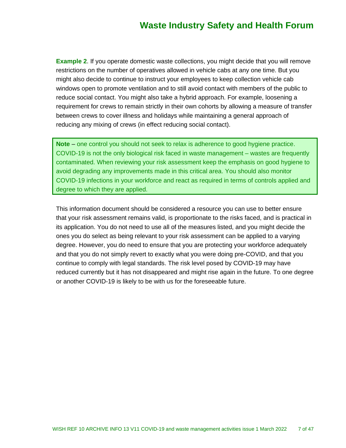**Example 2.** If you operate domestic waste collections, you might decide that you will remove restrictions on the number of operatives allowed in vehicle cabs at any one time. But you might also decide to continue to instruct your employees to keep collection vehicle cab windows open to promote ventilation and to still avoid contact with members of the public to reduce social contact. You might also take a hybrid approach. For example, loosening a requirement for crews to remain strictly in their own cohorts by allowing a measure of transfer between crews to cover illness and holidays while maintaining a general approach of reducing any mixing of crews (in effect reducing social contact).

**Note** – one control you should not seek to relax is adherence to good hygiene practice. COVID-19 is not the only biological risk faced in waste management – wastes are frequently contaminated. When reviewing your risk assessment keep the emphasis on good hygiene to avoid degrading any improvements made in this critical area. You should also monitor COVID-19 infections in your workforce and react as required in terms of controls applied and degree to which they are applied.

This information document should be considered a resource you can use to better ensure that your risk assessment remains valid, is proportionate to the risks faced, and is practical in its application. You do not need to use all of the measures listed, and you might decide the ones you do select as being relevant to your risk assessment can be applied to a varying degree. However, you do need to ensure that you are protecting your workforce adequately and that you do not simply revert to exactly what you were doing pre-COVID, and that you continue to comply with legal standards. The risk level posed by COVID-19 may have reduced currently but it has not disappeared and might rise again in the future. To one degree or another COVID-19 is likely to be with us for the foreseeable future.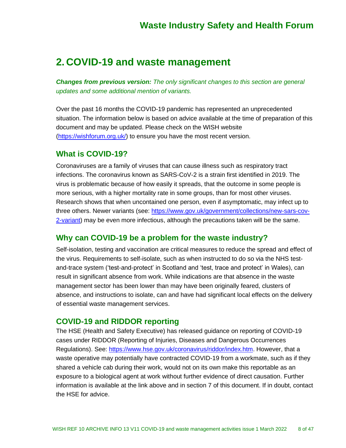## **2. COVID-19 and waste management**

*Changes from previous version: The only significant changes to this section are general updates and some additional mention of variants.*

Over the past 16 months the COVID-19 pandemic has represented an unprecedented situation. The information below is based on advice available at the time of preparation of this document and may be updated. Please check on the WISH website [\(https://wishforum.org.uk/\)](https://wishforum.org.uk/) to ensure you have the most recent version.

### **What is COVID-19?**

Coronaviruses are a family of viruses that can cause illness such as respiratory tract infections. The coronavirus known as SARS-CoV-2 is a strain first identified in 2019. The virus is problematic because of how easily it spreads, that the outcome in some people is more serious, with a higher mortality rate in some groups, than for most other viruses. Research shows that when uncontained one person, even if asymptomatic, may infect up to three others. Newer variants (see: [https://www.gov.uk/government/collections/new-sars-cov-](https://www.gov.uk/government/collections/new-sars-cov-2-variant)[2-variant\)](https://www.gov.uk/government/collections/new-sars-cov-2-variant) may be even more infectious, although the precautions taken will be the same.

### **Why can COVID-19 be a problem for the waste industry?**

Self-isolation, testing and vaccination are critical measures to reduce the spread and effect of the virus. Requirements to self-isolate, such as when instructed to do so via the NHS testand-trace system ('test-and-protect' in Scotland and 'test, trace and protect' in Wales), can result in significant absence from work. While indications are that absence in the waste management sector has been lower than may have been originally feared, clusters of absence, and instructions to isolate, can and have had significant local effects on the delivery of essential waste management services.

#### **COVID-19 and RIDDOR reporting**

The HSE (Health and Safety Executive) has released guidance on reporting of COVID-19 cases under RIDDOR (Reporting of Injuries, Diseases and Dangerous Occurrences Regulations). See: [https://www.hse.gov.uk/coronavirus/riddor/index.htm.](https://www.hse.gov.uk/coronavirus/riddor/index.htm) However, that a waste operative may potentially have contracted COVID-19 from a workmate, such as if they shared a vehicle cab during their work, would not on its own make this reportable as an exposure to a biological agent at work without further evidence of direct causation. Further information is available at the link above and in section 7 of this document. If in doubt, contact the HSE for advice.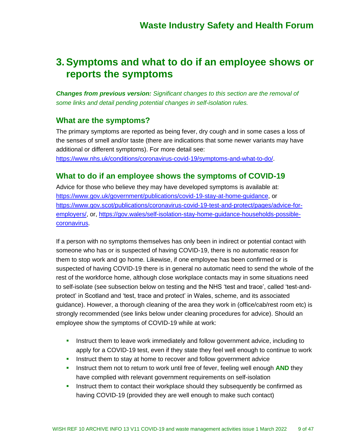## **3.Symptoms and what to do if an employee shows or reports the symptoms**

*Changes from previous version: Significant changes to this section are the removal of some links and detail pending potential changes in self-isolation rules.*

### **What are the symptoms?**

The primary symptoms are reported as being fever, dry cough and in some cases a loss of the senses of smell and/or taste (there are indications that some newer variants may have additional or different symptoms). For more detail see:

[https://www.nhs.uk/conditions/coronavirus-covid-19/symptoms-and-what-to-do/.](https://www.nhs.uk/conditions/coronavirus-covid-19/symptoms-and-what-to-do/)

### **What to do if an employee shows the symptoms of COVID-19**

Advice for those who believe they may have developed symptoms is available at: [https://www.gov.uk/government/publications/covid-19-stay-at-home-guidance,](https://www.gov.uk/government/publications/covid-19-stay-at-home-guidance) or [https://www.gov.scot/publications/coronavirus-covid-19-test-and-protect/pages/advice-for](https://www.gov.scot/publications/coronavirus-covid-19-test-and-protect/pages/advice-for-employers/)[employers/,](https://www.gov.scot/publications/coronavirus-covid-19-test-and-protect/pages/advice-for-employers/) or, [https://gov.wales/self-isolation-stay-home-guidance-households-possible](https://gov.wales/self-isolation-stay-home-guidance-households-possible-coronavirus)[coronavirus.](https://gov.wales/self-isolation-stay-home-guidance-households-possible-coronavirus)

If a person with no symptoms themselves has only been in indirect or potential contact with someone who has or is suspected of having COVID-19, there is no automatic reason for them to stop work and go home. Likewise, if one employee has been confirmed or is suspected of having COVID-19 there is in general no automatic need to send the whole of the rest of the workforce home, although close workplace contacts may in some situations need to self-isolate (see subsection below on testing and the NHS 'test and trace', called 'test-andprotect' in Scotland and 'test, trace and protect' in Wales, scheme, and its associated guidance). However, a thorough cleaning of the area they work in (office/cab/rest room etc) is strongly recommended (see links below under cleaning procedures for advice). Should an employee show the symptoms of COVID-19 while at work:

- **E** Instruct them to leave work immediately and follow government advice, including to apply for a COVID-19 test, even if they state they feel well enough to continue to work
- **.** Instruct them to stay at home to recover and follow government advice
- **.** Instruct them not to return to work until free of fever, feeling well enough **AND** they have complied with relevant government requirements on self-isolation
- **EXECT** Instruct them to contact their workplace should they subsequently be confirmed as having COVID-19 (provided they are well enough to make such contact)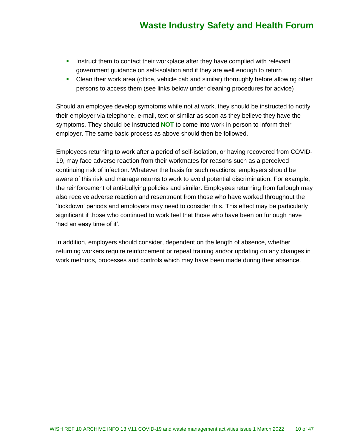- **.** Instruct them to contact their workplace after they have complied with relevant government guidance on self-isolation and if they are well enough to return
- **Clean their work area (office, vehicle cab and similar) thoroughly before allowing other** persons to access them (see links below under cleaning procedures for advice)

Should an employee develop symptoms while not at work, they should be instructed to notify their employer via telephone, e-mail, text or similar as soon as they believe they have the symptoms. They should be instructed **NOT** to come into work in person to inform their employer. The same basic process as above should then be followed.

Employees returning to work after a period of self-isolation, or having recovered from COVID-19, may face adverse reaction from their workmates for reasons such as a perceived continuing risk of infection. Whatever the basis for such reactions, employers should be aware of this risk and manage returns to work to avoid potential discrimination. For example, the reinforcement of anti-bullying policies and similar. Employees returning from furlough may also receive adverse reaction and resentment from those who have worked throughout the 'lockdown' periods and employers may need to consider this. This effect may be particularly significant if those who continued to work feel that those who have been on furlough have 'had an easy time of it'.

In addition, employers should consider, dependent on the length of absence, whether returning workers require reinforcement or repeat training and/or updating on any changes in work methods, processes and controls which may have been made during their absence.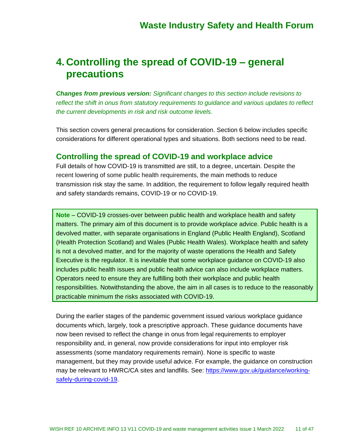## **4. Controlling the spread of COVID-19 – general precautions**

*Changes from previous version: Significant changes to this section include revisions to reflect the shift in onus from statutory requirements to guidance and various updates to reflect the current developments in risk and risk outcome levels.*

This section covers general precautions for consideration. Section 6 below includes specific considerations for different operational types and situations. Both sections need to be read.

### **Controlling the spread of COVID-19 and workplace advice**

Full details of how COVID-19 is transmitted are still, to a degree, uncertain. Despite the recent lowering of some public health requirements, the main methods to reduce transmission risk stay the same. In addition, the requirement to follow legally required health and safety standards remains, COVID-19 or no COVID-19.

**Note** – COVID-19 crosses-over between public health and workplace health and safety matters. The primary aim of this document is to provide workplace advice. Public health is a devolved matter, with separate organisations in England (Public Health England), Scotland (Health Protection Scotland) and Wales (Public Health Wales). Workplace health and safety is not a devolved matter, and for the majority of waste operations the Health and Safety Executive is the regulator. It is inevitable that some workplace guidance on COVID-19 also includes public health issues and public health advice can also include workplace matters. Operators need to ensure they are fulfilling both their workplace and public health responsibilities. Notwithstanding the above, the aim in all cases is to reduce to the reasonably practicable minimum the risks associated with COVID-19.

During the earlier stages of the pandemic government issued various workplace guidance documents which, largely, took a prescriptive approach. These guidance documents have now been revised to reflect the change in onus from legal requirements to employer responsibility and, in general, now provide considerations for input into employer risk assessments (some mandatory requirements remain). None is specific to waste management, but they may provide useful advice. For example, the guidance on construction may be relevant to HWRC/CA sites and landfills. See: [https://www.gov.uk/guidance/working](https://www.gov.uk/guidance/working-safely-during-covid-19)[safely-during-covid-19.](https://www.gov.uk/guidance/working-safely-during-covid-19)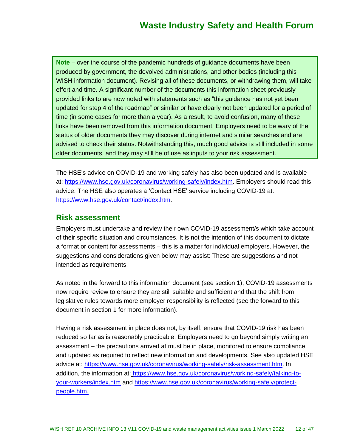**Note** – over the course of the pandemic hundreds of guidance documents have been produced by government, the devolved administrations, and other bodies (including this WISH information document). Revising all of these documents, or withdrawing them, will take effort and time. A significant number of the documents this information sheet previously provided links to are now noted with statements such as "this guidance has not yet been updated for step 4 of the roadmap" or similar or have clearly not been updated for a period of time (in some cases for more than a year). As a result, to avoid confusion, many of these links have been removed from this information document. Employers need to be wary of the status of older documents they may discover during internet and similar searches and are advised to check their status. Notwithstanding this, much good advice is still included in some older documents, and they may still be of use as inputs to your risk assessment.

The HSE's advice on COVID-19 and working safely has also been updated and is available at: [https://www.hse.gov.uk/coronavirus/working-safely/index.htm.](https://www.hse.gov.uk/coronavirus/working-safely/index.htm) Employers should read this advice. The HSE also operates a 'Contact HSE' service including COVID-19 at: [https://www.hse.gov.uk/contact/index.htm.](https://www.hse.gov.uk/contact/index.htm)

### **Risk assessment**

Employers must undertake and review their own COVID-19 assessment/s which take account of their specific situation and circumstances. It is not the intention of this document to dictate a format or content for assessments – this is a matter for individual employers. However, the suggestions and considerations given below may assist: These are suggestions and not intended as requirements.

As noted in the forward to this information document (see section 1), COVID-19 assessments now require review to ensure they are still suitable and sufficient and that the shift from legislative rules towards more employer responsibility is reflected (see the forward to this document in section 1 for more information).

Having a risk assessment in place does not, by itself, ensure that COVID-19 risk has been reduced so far as is reasonably practicable. Employers need to go beyond simply writing an assessment – the precautions arrived at must be in place, monitored to ensure compliance and updated as required to reflect new information and developments. See also updated HSE advice at: [https://www.hse.gov.uk/coronavirus/working-safely/risk-assessment.htm.](https://www.hse.gov.uk/coronavirus/working-safely/risk-assessment.htm) In addition, the information at: [https://www.hse.gov.uk/coronavirus/working-safely/talking-to](https://www.hse.gov.uk/coronavirus/working-safely/talking-to-your-workers/index.htm)[your-workers/index.htm](https://www.hse.gov.uk/coronavirus/working-safely/talking-to-your-workers/index.htm) and [https://www.hse.gov.uk/coronavirus/working-safely/protect](https://www.hse.gov.uk/coronavirus/working-safely/protect-people.htm)[people.htm.](https://www.hse.gov.uk/coronavirus/working-safely/protect-people.htm)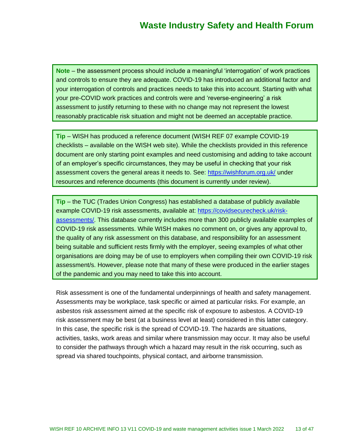**Note** – the assessment process should include a meaningful 'interrogation' of work practices and controls to ensure they are adequate. COVID-19 has introduced an additional factor and your interrogation of controls and practices needs to take this into account. Starting with what your pre-COVID work practices and controls were and 'reverse-engineering' a risk assessment to justify returning to these with no change may not represent the lowest reasonably practicable risk situation and might not be deemed an acceptable practice.

**Tip** – WISH has produced a reference document (WISH REF 07 example COVID-19 checklists – available on the WISH web site). While the checklists provided in this reference document are only starting point examples and need customising and adding to take account of an employer's specific circumstances, they may be useful in checking that your risk assessment covers the general areas it needs to. See:<https://wishforum.org.uk/> under resources and reference documents (this document is currently under review).

**Tip** – the TUC (Trades Union Congress) has established a database of publicly available example COVID-19 risk assessments, available at: [https://covidsecurecheck.uk/risk](https://covidsecurecheck.uk/risk-assessments/)[assessments/.](https://covidsecurecheck.uk/risk-assessments/) This database currently includes more than 300 publicly available examples of COVID-19 risk assessments. While WISH makes no comment on, or gives any approval to, the quality of any risk assessment on this database, and responsibility for an assessment being suitable and sufficient rests firmly with the employer, seeing examples of what other organisations are doing may be of use to employers when compiling their own COVID-19 risk assessment/s. However, please note that many of these were produced in the earlier stages of the pandemic and you may need to take this into account.

Risk assessment is one of the fundamental underpinnings of health and safety management. Assessments may be workplace, task specific or aimed at particular risks. For example, an asbestos risk assessment aimed at the specific risk of exposure to asbestos. A COVID-19 risk assessment may be best (at a business level at least) considered in this latter category. In this case, the specific risk is the spread of COVID-19. The hazards are situations, activities, tasks, work areas and similar where transmission may occur. It may also be useful to consider the pathways through which a hazard may result in the risk occurring, such as spread via shared touchpoints, physical contact, and airborne transmission.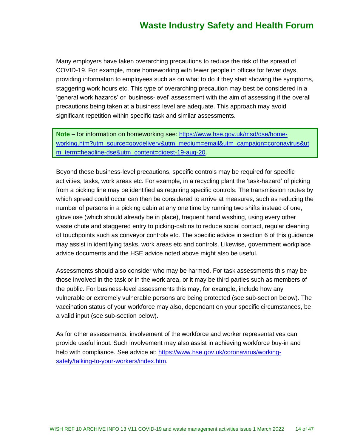Many employers have taken overarching precautions to reduce the risk of the spread of COVID-19. For example, more homeworking with fewer people in offices for fewer days, providing information to employees such as on what to do if they start showing the symptoms, staggering work hours etc. This type of overarching precaution may best be considered in a 'general work hazards' or 'business-level' assessment with the aim of assessing if the overall precautions being taken at a business level are adequate. This approach may avoid significant repetition within specific task and similar assessments.

**Note** – for information on homeworking see: [https://www.hse.gov.uk/msd/dse/home](https://www.hse.gov.uk/msd/dse/home-working.htm?utm_source=govdelivery&utm_medium=email&utm_campaign=coronavirus&utm_term=headline-dse&utm_content=digest-19-aug-20)[working.htm?utm\\_source=govdelivery&utm\\_medium=email&utm\\_campaign=coronavirus&ut](https://www.hse.gov.uk/msd/dse/home-working.htm?utm_source=govdelivery&utm_medium=email&utm_campaign=coronavirus&utm_term=headline-dse&utm_content=digest-19-aug-20) m term=headline-dse&utm content=digest-19-aug-20.

Beyond these business-level precautions, specific controls may be required for specific activities, tasks, work areas etc. For example, in a recycling plant the 'task-hazard' of picking from a picking line may be identified as requiring specific controls. The transmission routes by which spread could occur can then be considered to arrive at measures, such as reducing the number of persons in a picking cabin at any one time by running two shifts instead of one, glove use (which should already be in place), frequent hand washing, using every other waste chute and staggered entry to picking-cabins to reduce social contact, regular cleaning of touchpoints such as conveyor controls etc. The specific advice in section 6 of this guidance may assist in identifying tasks, work areas etc and controls. Likewise, government workplace advice documents and the HSE advice noted above might also be useful.

Assessments should also consider who may be harmed. For task assessments this may be those involved in the task or in the work area, or it may be third parties such as members of the public. For business-level assessments this may, for example, include how any vulnerable or extremely vulnerable persons are being protected (see sub-section below). The vaccination status of your workforce may also, dependant on your specific circumstances, be a valid input (see sub-section below).

As for other assessments, involvement of the workforce and worker representatives can provide useful input. Such involvement may also assist in achieving workforce buy-in and help with compliance. See advice at: [https://www.hse.gov.uk/coronavirus/working](https://www.hse.gov.uk/coronavirus/working-safely/talking-to-your-workers/index.htm)[safely/talking-to-your-workers/index.htm.](https://www.hse.gov.uk/coronavirus/working-safely/talking-to-your-workers/index.htm)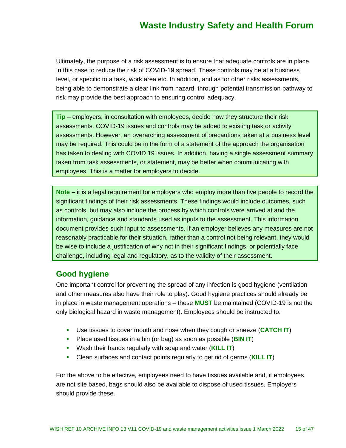Ultimately, the purpose of a risk assessment is to ensure that adequate controls are in place. In this case to reduce the risk of COVID-19 spread. These controls may be at a business level, or specific to a task, work area etc. In addition, and as for other risks assessments, being able to demonstrate a clear link from hazard, through potential transmission pathway to risk may provide the best approach to ensuring control adequacy.

**Tip** – employers, in consultation with employees, decide how they structure their risk assessments. COVID-19 issues and controls may be added to existing task or activity assessments. However, an overarching assessment of precautions taken at a business level may be required. This could be in the form of a statement of the approach the organisation has taken to dealing with COVID 19 issues. In addition, having a single assessment summary taken from task assessments, or statement, may be better when communicating with employees. This is a matter for employers to decide.

**Note** – it is a legal requirement for employers who employ more than five people to record the significant findings of their risk assessments. These findings would include outcomes, such as controls, but may also include the process by which controls were arrived at and the information, guidance and standards used as inputs to the assessment. This information document provides such input to assessments. If an employer believes any measures are not reasonably practicable for their situation, rather than a control not being relevant, they would be wise to include a justification of why not in their significant findings, or potentially face challenge, including legal and regulatory, as to the validity of their assessment.

### **Good hygiene**

One important control for preventing the spread of any infection is good hygiene (ventilation and other measures also have their role to play). Good hygiene practices should already be in place in waste management operations – these **MUST** be maintained (COVID-19 is not the only biological hazard in waste management). Employees should be instructed to:

- Use tissues to cover mouth and nose when they cough or sneeze (**CATCH IT**)
- Place used tissues in a bin (or bag) as soon as possible (**BIN IT**)
- Wash their hands regularly with soap and water (**KILL IT**)
- Clean surfaces and contact points regularly to get rid of germs (**KILL IT**)

For the above to be effective, employees need to have tissues available and, if employees are not site based, bags should also be available to dispose of used tissues. Employers should provide these.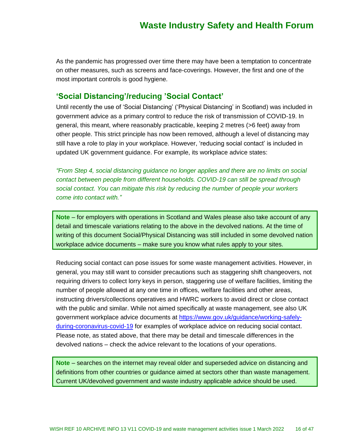As the pandemic has progressed over time there may have been a temptation to concentrate on other measures, such as screens and face-coverings. However, the first and one of the most important controls is good hygiene.

### **'Social Distancing'/reducing 'Social Contact'**

Until recently the use of 'Social Distancing' ('Physical Distancing' in Scotland) was included in government advice as a primary control to reduce the risk of transmission of COVID-19. In general, this meant, where reasonably practicable, keeping 2 metres (>6 feet) away from other people. This strict principle has now been removed, although a level of distancing may still have a role to play in your workplace. However, 'reducing social contact' is included in updated UK government guidance. For example, its workplace advice states:

*"From Step 4, social distancing guidance no longer applies and there are no limits on social contact between people from different households. COVID-19 can still be spread through social contact. You can mitigate this risk by reducing the number of people your workers come into contact with."*

**Note** – for employers with operations in Scotland and Wales please also take account of any detail and timescale variations relating to the above in the devolved nations. At the time of writing of this document Social/Physical Distancing was still included in some devolved nation workplace advice documents – make sure you know what rules apply to your sites.

Reducing social contact can pose issues for some waste management activities. However, in general, you may still want to consider precautions such as staggering shift changeovers, not requiring drivers to collect lorry keys in person, staggering use of welfare facilities, limiting the number of people allowed at any one time in offices, welfare facilities and other areas, instructing drivers/collections operatives and HWRC workers to avoid direct or close contact with the public and similar. While not aimed specifically at waste management, see also UK government workplace advice documents at [https://www.gov.uk/guidance/working-safely](https://www.gov.uk/guidance/working-safely-during-coronavirus-covid-19)[during-coronavirus-covid-19](https://www.gov.uk/guidance/working-safely-during-coronavirus-covid-19) for examples of workplace advice on reducing social contact. Please note, as stated above, that there may be detail and timescale differences in the devolved nations – check the advice relevant to the locations of your operations.

**Note** – searches on the internet may reveal older and superseded advice on distancing and definitions from other countries or guidance aimed at sectors other than waste management. Current UK/devolved government and waste industry applicable advice should be used.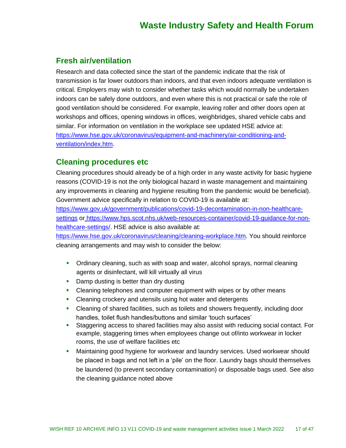### **Fresh air/ventilation**

Research and data collected since the start of the pandemic indicate that the risk of transmission is far lower outdoors than indoors, and that even indoors adequate ventilation is critical. Employers may wish to consider whether tasks which would normally be undertaken indoors can be safely done outdoors, and even where this is not practical or safe the role of good ventilation should be considered. For example, leaving roller and other doors open at workshops and offices, opening windows in offices, weighbridges, shared vehicle cabs and similar. For information on ventilation in the workplace see updated HSE advice at: [https://www.hse.gov.uk/coronavirus/equipment-and-machinery/air-conditioning-and](https://www.hse.gov.uk/coronavirus/equipment-and-machinery/air-conditioning-and-ventilation/index.htm)[ventilation/index.htm.](https://www.hse.gov.uk/coronavirus/equipment-and-machinery/air-conditioning-and-ventilation/index.htm)

### **Cleaning procedures etc**

Cleaning procedures should already be of a high order in any waste activity for basic hygiene reasons (COVID-19 is not the only biological hazard in waste management and maintaining any improvements in cleaning and hygiene resulting from the pandemic would be beneficial). Government advice specifically in relation to COVID-19 is available at:

[https://www.gov.uk/government/publications/covid-19-decontamination-in-non-healthcare](https://www.gov.uk/government/publications/covid-19-decontamination-in-non-healthcare-settings)[settings](https://www.gov.uk/government/publications/covid-19-decontamination-in-non-healthcare-settings) or [https://www.hps.scot.nhs.uk/web-resources-container/covid-19-guidance-for-non](https://www.hps.scot.nhs.uk/web-resources-container/covid-19-guidance-for-non-healthcare-settings/)[healthcare-settings/.](https://www.hps.scot.nhs.uk/web-resources-container/covid-19-guidance-for-non-healthcare-settings/) HSE advice is also available at:

[https://www.hse.gov.uk/coronavirus/cleaning/cleaning-workplace.htm.](https://www.hse.gov.uk/coronavirus/cleaning/cleaning-workplace.htm) You should reinforce cleaning arrangements and may wish to consider the below:

- **•** Ordinary cleaning, such as with soap and water, alcohol sprays, normal cleaning agents or disinfectant, will kill virtually all virus
- Damp dusting is better than dry dusting
- **•** Cleaning telephones and computer equipment with wipes or by other means
- Cleaning crockery and utensils using hot water and detergents
- Cleaning of shared facilities, such as toilets and showers frequently, including door handles, toilet flush handles/buttons and similar 'touch surfaces'
- Staggering access to shared facilities may also assist with reducing social contact. For example, staggering times when employees change out of/into workwear in locker rooms, the use of welfare facilities etc
- **■** Maintaining good hygiene for workwear and laundry services. Used workwear should be placed in bags and not left in a 'pile' on the floor. Laundry bags should themselves be laundered (to prevent secondary contamination) or disposable bags used. See also the cleaning guidance noted above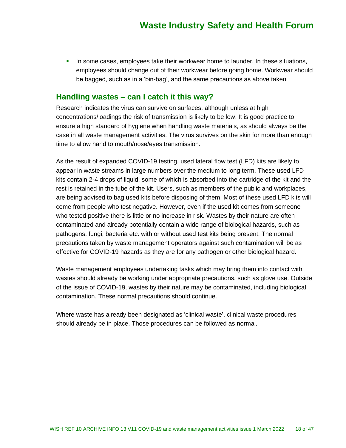**.** In some cases, employees take their workwear home to launder. In these situations, employees should change out of their workwear before going home. Workwear should be bagged, such as in a 'bin-bag', and the same precautions as above taken

#### **Handling wastes – can I catch it this way?**

Research indicates the virus can survive on surfaces, although unless at high concentrations/loadings the risk of transmission is likely to be low. It is good practice to ensure a high standard of hygiene when handling waste materials, as should always be the case in all waste management activities. The virus survives on the skin for more than enough time to allow hand to mouth/nose/eyes transmission.

As the result of expanded COVID-19 testing, used lateral flow test (LFD) kits are likely to appear in waste streams in large numbers over the medium to long term. These used LFD kits contain 2-4 drops of liquid, some of which is absorbed into the cartridge of the kit and the rest is retained in the tube of the kit. Users, such as members of the public and workplaces, are being advised to bag used kits before disposing of them. Most of these used LFD kits will come from people who test negative. However, even if the used kit comes from someone who tested positive there is little or no increase in risk. Wastes by their nature are often contaminated and already potentially contain a wide range of biological hazards, such as pathogens, fungi, bacteria etc. with or without used test kits being present. The normal precautions taken by waste management operators against such contamination will be as effective for COVID-19 hazards as they are for any pathogen or other biological hazard.

Waste management employees undertaking tasks which may bring them into contact with wastes should already be working under appropriate precautions, such as glove use. Outside of the issue of COVID-19, wastes by their nature may be contaminated, including biological contamination. These normal precautions should continue.

Where waste has already been designated as 'clinical waste', clinical waste procedures should already be in place. Those procedures can be followed as normal.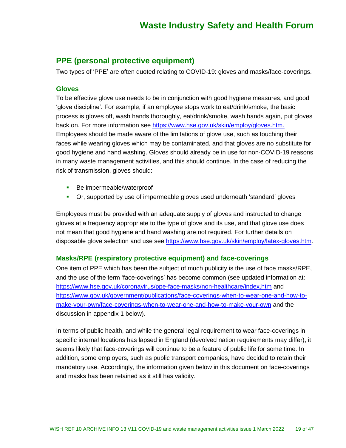### **PPE (personal protective equipment)**

Two types of 'PPE' are often quoted relating to COVID-19: gloves and masks/face-coverings.

#### **Gloves**

To be effective glove use needs to be in conjunction with good hygiene measures, and good 'glove discipline'. For example, if an employee stops work to eat/drink/smoke, the basic process is gloves off, wash hands thoroughly, eat/drink/smoke, wash hands again, put gloves back on. For more information see [https://www.hse.gov.uk/skin/employ/gloves.htm.](https://www.hse.gov.uk/skin/employ/gloves.htm) Employees should be made aware of the limitations of glove use, such as touching their faces while wearing gloves which may be contaminated, and that gloves are no substitute for good hygiene and hand washing. Gloves should already be in use for non-COVID-19 reasons in many waste management activities, and this should continue. In the case of reducing the risk of transmission, gloves should:

- Be impermeable/waterproof
- Or, supported by use of impermeable gloves used underneath 'standard' gloves

Employees must be provided with an adequate supply of gloves and instructed to change gloves at a frequency appropriate to the type of glove and its use, and that glove use does not mean that good hygiene and hand washing are not required. For further details on disposable glove selection and use see [https://www.hse.gov.uk/skin/employ/latex-gloves.htm.](https://www.hse.gov.uk/skin/employ/latex-gloves.htm)

#### **Masks/RPE (respiratory protective equipment) and face-coverings**

One item of PPE which has been the subject of much publicity is the use of face masks/RPE, and the use of the term 'face-coverings' has become common (see updated information at: <https://www.hse.gov.uk/coronavirus/ppe-face-masks/non-healthcare/index.htm> and [https://www.gov.uk/government/publications/face-coverings-when-to-wear-one-and-how-to](https://www.gov.uk/government/publications/face-coverings-when-to-wear-one-and-how-to-make-your-own/face-coverings-when-to-wear-one-and-how-to-make-your-own)[make-your-own/face-coverings-when-to-wear-one-and-how-to-make-your-own](https://www.gov.uk/government/publications/face-coverings-when-to-wear-one-and-how-to-make-your-own/face-coverings-when-to-wear-one-and-how-to-make-your-own) and the discussion in appendix 1 below).

In terms of public health, and while the general legal requirement to wear face-coverings in specific internal locations has lapsed in England (devolved nation requirements may differ), it seems likely that face-coverings will continue to be a feature of public life for some time. In addition, some employers, such as public transport companies, have decided to retain their mandatory use. Accordingly, the information given below in this document on face-coverings and masks has been retained as it still has validity.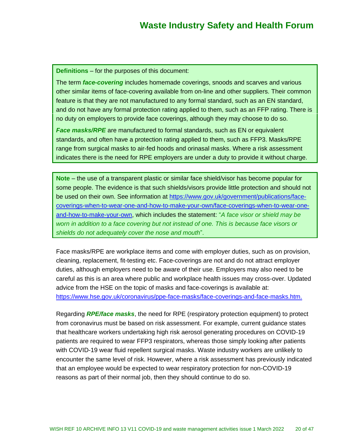**Definitions** – for the purposes of this document:

The term *face-covering* includes homemade coverings, snoods and scarves and various other similar items of face-covering available from on-line and other suppliers. Their common feature is that they are not manufactured to any formal standard, such as an EN standard, and do not have any formal protection rating applied to them, such as an FFP rating. There is no duty on employers to provide face coverings, although they may choose to do so.

*Face masks/RPE* are manufactured to formal standards, such as EN or equivalent standards, and often have a protection rating applied to them, such as FFP3. Masks/RPE range from surgical masks to air-fed hoods and orinasal masks. Where a risk assessment indicates there is the need for RPE employers are under a duty to provide it without charge.

**Note** – the use of a transparent plastic or similar face shield/visor has become popular for some people. The evidence is that such shields/visors provide little protection and should not be used on their own. See information at [https://www.gov.uk/government/publications/face](https://www.gov.uk/government/publications/face-coverings-when-to-wear-one-and-how-to-make-your-own/face-coverings-when-to-wear-one-and-how-to-make-your-own)[coverings-when-to-wear-one-and-how-to-make-your-own/face-coverings-when-to-wear-one](https://www.gov.uk/government/publications/face-coverings-when-to-wear-one-and-how-to-make-your-own/face-coverings-when-to-wear-one-and-how-to-make-your-own)[and-how-to-make-your-own,](https://www.gov.uk/government/publications/face-coverings-when-to-wear-one-and-how-to-make-your-own/face-coverings-when-to-wear-one-and-how-to-make-your-own) which includes the statement: "*A face visor or shield may be worn in addition to a face covering but not instead of one. This is because face visors or shields do not adequately cover the nose and mouth*".

Face masks/RPE are workplace items and come with employer duties, such as on provision, cleaning, replacement, fit-testing etc. Face-coverings are not and do not attract employer duties, although employers need to be aware of their use. Employers may also need to be careful as this is an area where public and workplace health issues may cross-over. Updated advice from the HSE on the topic of masks and face-coverings is available at: [https://www.hse.gov.uk/coronavirus/ppe-face-masks/face-coverings-and-face-masks.htm.](https://www.hse.gov.uk/coronavirus/ppe-face-masks/face-coverings-and-face-masks.htm)

Regarding *RPE/face masks*, the need for RPE (respiratory protection equipment) to protect from coronavirus must be based on risk assessment. For example, current guidance states that healthcare workers undertaking high risk aerosol generating procedures on COVID-19 patients are required to wear FFP3 respirators, whereas those simply looking after patients with COVID-19 wear fluid repellent surgical masks. Waste industry workers are unlikely to encounter the same level of risk. However, where a risk assessment has previously indicated that an employee would be expected to wear respiratory protection for non-COVID-19 reasons as part of their normal job, then they should continue to do so.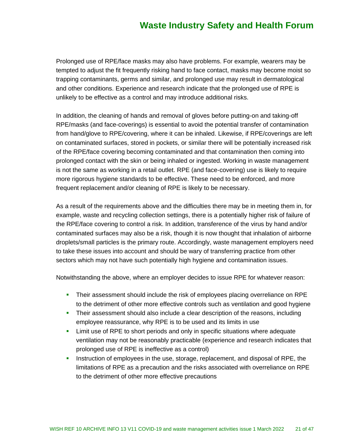Prolonged use of RPE/face masks may also have problems. For example, wearers may be tempted to adjust the fit frequently risking hand to face contact, masks may become moist so trapping contaminants, germs and similar, and prolonged use may result in dermatological and other conditions. Experience and research indicate that the prolonged use of RPE is unlikely to be effective as a control and may introduce additional risks.

In addition, the cleaning of hands and removal of gloves before putting-on and taking-off RPE/masks (and face-coverings) is essential to avoid the potential transfer of contamination from hand/glove to RPE/covering, where it can be inhaled. Likewise, if RPE/coverings are left on contaminated surfaces, stored in pockets, or similar there will be potentially increased risk of the RPE/face covering becoming contaminated and that contamination then coming into prolonged contact with the skin or being inhaled or ingested. Working in waste management is not the same as working in a retail outlet. RPE (and face-covering) use is likely to require more rigorous hygiene standards to be effective. These need to be enforced, and more frequent replacement and/or cleaning of RPE is likely to be necessary.

As a result of the requirements above and the difficulties there may be in meeting them in, for example, waste and recycling collection settings, there is a potentially higher risk of failure of the RPE/face covering to control a risk. In addition, transference of the virus by hand and/or contaminated surfaces may also be a risk, though it is now thought that inhalation of airborne droplets/small particles is the primary route. Accordingly, waste management employers need to take these issues into account and should be wary of transferring practice from other sectors which may not have such potentially high hygiene and contamination issues.

Notwithstanding the above, where an employer decides to issue RPE for whatever reason:

- **•** Their assessment should include the risk of employees placing overreliance on RPE to the detriment of other more effective controls such as ventilation and good hygiene
- **•** Their assessment should also include a clear description of the reasons, including employee reassurance, why RPE is to be used and its limits in use
- **EXECT** Limit use of RPE to short periods and only in specific situations where adequate ventilation may not be reasonably practicable (experience and research indicates that prolonged use of RPE is ineffective as a control)
- **EXECT** Instruction of employees in the use, storage, replacement, and disposal of RPE, the limitations of RPE as a precaution and the risks associated with overreliance on RPE to the detriment of other more effective precautions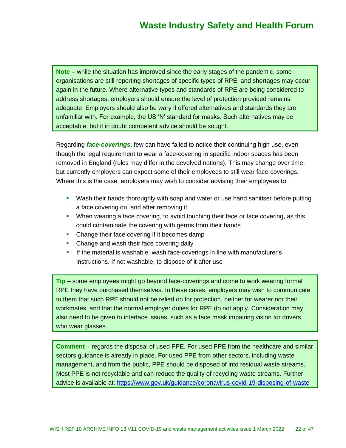**Note** – while the situation has improved since the early stages of the pandemic, some organisations are still reporting shortages of specific types of RPE, and shortages may occur again in the future. Where alternative types and standards of RPE are being considered to address shortages, employers should ensure the level of protection provided remains adequate. Employers should also be wary if offered alternatives and standards they are unfamiliar with. For example, the US 'N' standard for masks. Such alternatives may be acceptable, but if in doubt competent advice should be sought.

Regarding *face-coverings*, few can have failed to notice their continuing high use, even though the legal requirement to wear a face-covering in specific indoor spaces has been removed in England (rules may differ in the devolved nations). This may change over time, but currently employers can expect some of their employees to still wear face-coverings. Where this is the case, employers may wish to consider advising their employees to:

- **•** Wash their hands thoroughly with soap and water or use hand sanitiser before putting a face covering on, and after removing it
- **•** When wearing a face covering, to avoid touching their face or face covering, as this could contaminate the covering with germs from their hands
- Change their face covering if it becomes damp
- Change and wash their face covering daily
- If the material is washable, wash face-coverings in line with manufacturer's instructions. If not washable, to dispose of it after use

**Tip** – some employees might go beyond face-coverings and come to work wearing formal RPE they have purchased themselves. In these cases, employers may wish to communicate to them that such RPE should not be relied on for protection, neither for wearer nor their workmates, and that the normal employer duties for RPE do not apply. Consideration may also need to be given to interface issues, such as a face mask impairing vision for drivers who wear glasses.

**Comment** – regards the disposal of used PPE. For used PPE from the healthcare and similar sectors guidance is already in place. For used PPE from other sectors, including waste management, and from the public, PPE should be disposed of into residual waste streams. Most PPE is not recyclable and can reduce the quality of recycling waste streams. Further advice is available at:<https://www.gov.uk/guidance/coronavirus-covid-19-disposing-of-waste>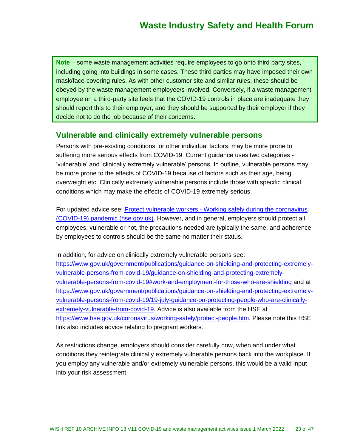**Note** – some waste management activities require employees to go onto third party sites, including going into buildings in some cases. These third parties may have imposed their own mask/face-covering rules. As with other customer site and similar rules, these should be obeyed by the waste management employee/s involved. Conversely, if a waste management employee on a third-party site feels that the COVID-19 controls in place are inadequate they should report this to their employer, and they should be supported by their employer if they decide not to do the job because of their concerns.

### **Vulnerable and clinically extremely vulnerable persons**

Persons with pre-existing conditions, or other individual factors, may be more prone to suffering more serious effects from COVID-19. Current guidance uses two categories - 'vulnerable' and 'clinically extremely vulnerable' persons. In outline, vulnerable persons may be more prone to the effects of COVID-19 because of factors such as their age, being overweight etc. Clinically extremely vulnerable persons include those with specific clinical conditions which may make the effects of COVID-19 extremely serious.

For updated advice see: Protect vulnerable workers - [Working safely during the coronavirus](https://www.hse.gov.uk/coronavirus/working-safely/protect-people.htm)  [\(COVID-19\) pandemic \(hse.gov.uk\).](https://www.hse.gov.uk/coronavirus/working-safely/protect-people.htm) However, and in general, employers should protect all employees, vulnerable or not, the precautions needed are typically the same, and adherence by employees to controls should be the same no matter their status.

In addition, for advice on clinically extremely vulnerable persons see: [https://www.gov.uk/government/publications/guidance-on-shielding-and-protecting-extremely](https://www.gov.uk/government/publications/guidance-on-shielding-and-protecting-extremely-vulnerable-persons-from-covid-19/guidance-on-shielding-and-protecting-extremely-vulnerable-persons-from-covid-19#work-and-employment-for-those-who-are-shielding)[vulnerable-persons-from-covid-19/guidance-on-shielding-and-protecting-extremely](https://www.gov.uk/government/publications/guidance-on-shielding-and-protecting-extremely-vulnerable-persons-from-covid-19/guidance-on-shielding-and-protecting-extremely-vulnerable-persons-from-covid-19#work-and-employment-for-those-who-are-shielding)[vulnerable-persons-from-covid-19#work-and-employment-for-those-who-are-shielding](https://www.gov.uk/government/publications/guidance-on-shielding-and-protecting-extremely-vulnerable-persons-from-covid-19/guidance-on-shielding-and-protecting-extremely-vulnerable-persons-from-covid-19#work-and-employment-for-those-who-are-shielding) and at [https://www.gov.uk/government/publications/guidance-on-shielding-and-protecting-extremely](https://www.gov.uk/government/publications/guidance-on-shielding-and-protecting-extremely-vulnerable-persons-from-covid-19/19-july-guidance-on-protecting-people-who-are-clinically-extremely-vulnerable-from-covid-19)[vulnerable-persons-from-covid-19/19-july-guidance-on-protecting-people-who-are-clinically](https://www.gov.uk/government/publications/guidance-on-shielding-and-protecting-extremely-vulnerable-persons-from-covid-19/19-july-guidance-on-protecting-people-who-are-clinically-extremely-vulnerable-from-covid-19)[extremely-vulnerable-from-covid-19.](https://www.gov.uk/government/publications/guidance-on-shielding-and-protecting-extremely-vulnerable-persons-from-covid-19/19-july-guidance-on-protecting-people-who-are-clinically-extremely-vulnerable-from-covid-19) Advice is also available from the HSE at [https://www.hse.gov.uk/coronavirus/working-safely/protect-people.htm.](https://www.hse.gov.uk/coronavirus/working-safely/protect-people.htm) Please note this HSE link also includes advice relating to pregnant workers.

As restrictions change, employers should consider carefully how, when and under what conditions they reintegrate clinically extremely vulnerable persons back into the workplace. If you employ any vulnerable and/or extremely vulnerable persons, this would be a valid input into your risk assessment.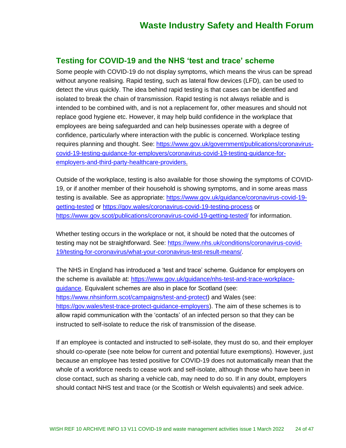### **Testing for COVID-19 and the NHS 'test and trace' scheme**

Some people with COVID-19 do not display symptoms, which means the virus can be spread without anyone realising. Rapid testing, such as lateral flow devices (LFD), can be used to detect the virus quickly. The idea behind rapid testing is that cases can be identified and isolated to break the chain of transmission. Rapid testing is not always reliable and is intended to be combined with, and is not a replacement for, other measures and should not replace good hygiene etc. However, it may help build confidence in the workplace that employees are being safeguarded and can help businesses operate with a degree of confidence, particularly where interaction with the public is concerned. Workplace testing requires planning and thought. See: [https://www.gov.uk/government/publications/coronavirus](https://www.gov.uk/government/publications/coronavirus-covid-19-testing-guidance-for-employers/coronavirus-covid-19-testing-guidance-for-employers-and-third-party-healthcare-providers)[covid-19-testing-guidance-for-employers/coronavirus-covid-19-testing-guidance-for](https://www.gov.uk/government/publications/coronavirus-covid-19-testing-guidance-for-employers/coronavirus-covid-19-testing-guidance-for-employers-and-third-party-healthcare-providers)[employers-and-third-party-healthcare-providers.](https://www.gov.uk/government/publications/coronavirus-covid-19-testing-guidance-for-employers/coronavirus-covid-19-testing-guidance-for-employers-and-third-party-healthcare-providers)

Outside of the workplace, testing is also available for those showing the symptoms of COVID-19, or if another member of their household is showing symptoms, and in some areas mass testing is available. See as appropriate: [https://www.gov.uk/guidance/coronavirus-covid-19](https://www.gov.uk/guidance/coronavirus-covid-19-getting-tested) [getting-tested](https://www.gov.uk/guidance/coronavirus-covid-19-getting-tested) or <https://gov.wales/coronavirus-covid-19-testing-process> or <https://www.gov.scot/publications/coronavirus-covid-19-getting-tested/> for information.

Whether testing occurs in the workplace or not, it should be noted that the outcomes of testing may not be straightforward. See: [https://www.nhs.uk/conditions/coronavirus-covid-](https://www.nhs.uk/conditions/coronavirus-covid-19/testing-for-coronavirus/what-your-coronavirus-test-result-means/)[19/testing-for-coronavirus/what-your-coronavirus-test-result-means/.](https://www.nhs.uk/conditions/coronavirus-covid-19/testing-for-coronavirus/what-your-coronavirus-test-result-means/)

The NHS in England has introduced a 'test and trace' scheme. Guidance for employers on the scheme is available at: [https://www.gov.uk/guidance/nhs-test-and-trace-workplace](https://www.gov.uk/guidance/nhs-test-and-trace-workplace-guidance)[guidance.](https://www.gov.uk/guidance/nhs-test-and-trace-workplace-guidance) Equivalent schemes are also in place for Scotland (see: [https://www.nhsinform.scot/campaigns/test-and-protect\)](https://www.nhsinform.scot/campaigns/test-and-protect) and Wales (see: [https://gov.wales/test-trace-protect-guidance-employers\)](https://gov.wales/test-trace-protect-guidance-employers). The aim of these schemes is to allow rapid communication with the 'contacts' of an infected person so that they can be instructed to self-isolate to reduce the risk of transmission of the disease.

If an employee is contacted and instructed to self-isolate, they must do so, and their employer should co-operate (see note below for current and potential future exemptions). However, just because an employee has tested positive for COVID-19 does not automatically mean that the whole of a workforce needs to cease work and self-isolate, although those who have been in close contact, such as sharing a vehicle cab, may need to do so. If in any doubt, employers should contact NHS test and trace (or the Scottish or Welsh equivalents) and seek advice.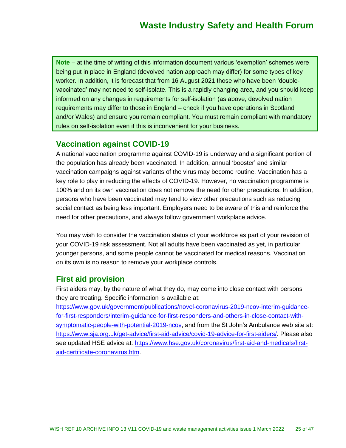**Note** – at the time of writing of this information document various 'exemption' schemes were being put in place in England (devolved nation approach may differ) for some types of key worker. In addition, it is forecast that from 16 August 2021 those who have been 'doublevaccinated' may not need to self-isolate. This is a rapidly changing area, and you should keep informed on any changes in requirements for self-isolation (as above, devolved nation requirements may differ to those in England – check if you have operations in Scotland and/or Wales) and ensure you remain compliant. You must remain compliant with mandatory rules on self-isolation even if this is inconvenient for your business.

### **Vaccination against COVID-19**

A national vaccination programme against COVID-19 is underway and a significant portion of the population has already been vaccinated. In addition, annual 'booster' and similar vaccination campaigns against variants of the virus may become routine. Vaccination has a key role to play in reducing the effects of COVID-19. However, no vaccination programme is 100% and on its own vaccination does not remove the need for other precautions. In addition, persons who have been vaccinated may tend to view other precautions such as reducing social contact as being less important. Employers need to be aware of this and reinforce the need for other precautions, and always follow government workplace advice.

You may wish to consider the vaccination status of your workforce as part of your revision of your COVID-19 risk assessment. Not all adults have been vaccinated as yet, in particular younger persons, and some people cannot be vaccinated for medical reasons. Vaccination on its own is no reason to remove your workplace controls.

### **First aid provision**

First aiders may, by the nature of what they do, may come into close contact with persons they are treating. Specific information is available at:

[https://www.gov.uk/government/publications/novel-coronavirus-2019-ncov-interim-guidance](https://www.gov.uk/government/publications/novel-coronavirus-2019-ncov-interim-guidance-for-first-responders/interim-guidance-for-first-responders-and-others-in-close-contact-with-symptomatic-people-with-potential-2019-ncov)[for-first-responders/interim-guidance-for-first-responders-and-others-in-close-contact-with](https://www.gov.uk/government/publications/novel-coronavirus-2019-ncov-interim-guidance-for-first-responders/interim-guidance-for-first-responders-and-others-in-close-contact-with-symptomatic-people-with-potential-2019-ncov)[symptomatic-people-with-potential-2019-ncov,](https://www.gov.uk/government/publications/novel-coronavirus-2019-ncov-interim-guidance-for-first-responders/interim-guidance-for-first-responders-and-others-in-close-contact-with-symptomatic-people-with-potential-2019-ncov) and from the St John's Ambulance web site at: [https://www.sja.org.uk/get-advice/first-aid-advice/covid-19-advice-for-first-aiders/.](https://www.sja.org.uk/get-advice/first-aid-advice/covid-19-advice-for-first-aiders/) Please also see updated HSE advice at: [https://www.hse.gov.uk/coronavirus/first-aid-and-medicals/first](https://www.hse.gov.uk/coronavirus/first-aid-and-medicals/first-aid-certificate-coronavirus.htm)[aid-certificate-coronavirus.htm.](https://www.hse.gov.uk/coronavirus/first-aid-and-medicals/first-aid-certificate-coronavirus.htm)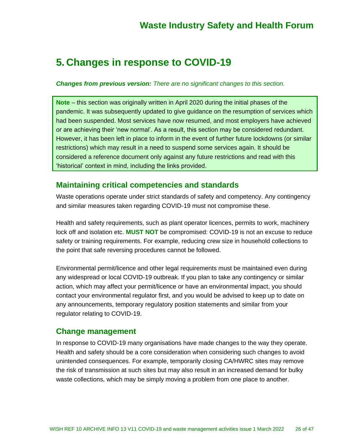## **5. Changes in response to COVID-19**

#### *Changes from previous version: There are no significant changes to this section.*

**Note** – this section was originally written in April 2020 during the initial phases of the pandemic. It was subsequently updated to give guidance on the resumption of services which had been suspended. Most services have now resumed, and most employers have achieved or are achieving their 'new normal'. As a result, this section may be considered redundant. However, it has been left in place to inform in the event of further future lockdowns (or similar restrictions) which may result in a need to suspend some services again. It should be considered a reference document only against any future restrictions and read with this 'historical' context in mind, including the links provided.

### **Maintaining critical competencies and standards**

Waste operations operate under strict standards of safety and competency. Any contingency and similar measures taken regarding COVID-19 must not compromise these.

Health and safety requirements, such as plant operator licences, permits to work, machinery lock off and isolation etc. **MUST NOT** be compromised: COVID-19 is not an excuse to reduce safety or training requirements. For example, reducing crew size in household collections to the point that safe reversing procedures cannot be followed.

Environmental permit/licence and other legal requirements must be maintained even during any widespread or local COVID-19 outbreak. If you plan to take any contingency or similar action, which may affect your permit/licence or have an environmental impact, you should contact your environmental regulator first, and you would be advised to keep up to date on any announcements, temporary regulatory position statements and similar from your regulator relating to COVID-19.

### **Change management**

In response to COVID-19 many organisations have made changes to the way they operate. Health and safety should be a core consideration when considering such changes to avoid unintended consequences. For example, temporarily closing CA/HWRC sites may remove the risk of transmission at such sites but may also result in an increased demand for bulky waste collections, which may be simply moving a problem from one place to another.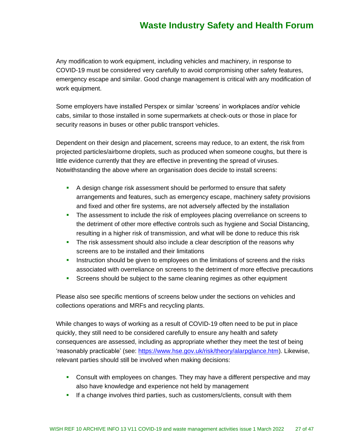Any modification to work equipment, including vehicles and machinery, in response to COVID-19 must be considered very carefully to avoid compromising other safety features, emergency escape and similar. Good change management is critical with any modification of work equipment.

Some employers have installed Perspex or similar 'screens' in workplaces and/or vehicle cabs, similar to those installed in some supermarkets at check-outs or those in place for security reasons in buses or other public transport vehicles.

Dependent on their design and placement, screens may reduce, to an extent, the risk from projected particles/airborne droplets, such as produced when someone coughs, but there is little evidence currently that they are effective in preventing the spread of viruses. Notwithstanding the above where an organisation does decide to install screens:

- **•** A design change risk assessment should be performed to ensure that safety arrangements and features, such as emergency escape, machinery safety provisions and fixed and other fire systems, are not adversely affected by the installation
- **•** The assessment to include the risk of employees placing overreliance on screens to the detriment of other more effective controls such as hygiene and Social Distancing, resulting in a higher risk of transmission, and what will be done to reduce this risk
- **•** The risk assessment should also include a clear description of the reasons why screens are to be installed and their limitations
- **•** Instruction should be given to employees on the limitations of screens and the risks associated with overreliance on screens to the detriment of more effective precautions
- **•** Screens should be subject to the same cleaning regimes as other equipment

Please also see specific mentions of screens below under the sections on vehicles and collections operations and MRFs and recycling plants.

While changes to ways of working as a result of COVID-19 often need to be put in place quickly, they still need to be considered carefully to ensure any health and safety consequences are assessed, including as appropriate whether they meet the test of being 'reasonably practicable' (see: [https://www.hse.gov.uk/risk/theory/alarpglance.htm\)](https://www.hse.gov.uk/risk/theory/alarpglance.htm). Likewise, relevant parties should still be involved when making decisions:

- Consult with employees on changes. They may have a different perspective and may also have knowledge and experience not held by management
- **.** If a change involves third parties, such as customers/clients, consult with them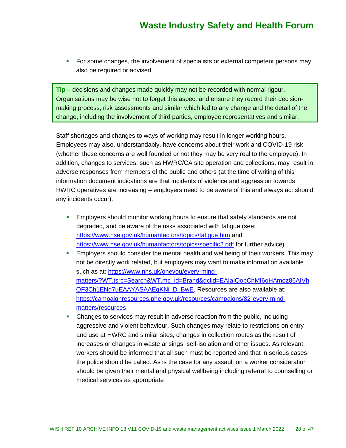**•** For some changes, the involvement of specialists or external competent persons may also be required or advised

**Tip** – decisions and changes made quickly may not be recorded with normal rigour. Organisations may be wise not to forget this aspect and ensure they record their decisionmaking process, risk assessments and similar which led to any change and the detail of the change, including the involvement of third parties, employee representatives and similar.

Staff shortages and changes to ways of working may result in longer working hours. Employees may also, understandably, have concerns about their work and COVID-19 risk (whether these concerns are well founded or not they may be very real to the employee). In addition, changes to services, such as HWRC/CA site operation and collections, may result in adverse responses from members of the public and others (at the time of writing of this information document indications are that incidents of violence and aggression towards HWRC operatives are increasing – employers need to be aware of this and always act should any incidents occur).

- **Employers should monitor working hours to ensure that safety standards are not** degraded, and be aware of the risks associated with fatigue (see: <https://www.hse.gov.uk/humanfactors/topics/fatigue.htm> and <https://www.hse.gov.uk/humanfactors/topics/specific2.pdf> for further advice)
- **Employers should consider the mental health and wellbeing of their workers. This may** not be directly work related, but employers may want to make information available such as at: [https://www.nhs.uk/oneyou/every-mind](https://www.nhs.uk/oneyou/every-mind-matters/?WT.tsrc=Search&WT.mc_id=Brand&gclid=EAIaIQobChMI6qHAmoz86AIVhOF3Ch1ENg7uEAAYASAAEgKNi_D_BwE)[matters/?WT.tsrc=Search&WT.mc\\_id=Brand&gclid=EAIaIQobChMI6qHAmoz86AIVh](https://www.nhs.uk/oneyou/every-mind-matters/?WT.tsrc=Search&WT.mc_id=Brand&gclid=EAIaIQobChMI6qHAmoz86AIVhOF3Ch1ENg7uEAAYASAAEgKNi_D_BwE) [OF3Ch1ENg7uEAAYASAAEgKNi\\_D\\_BwE.](https://www.nhs.uk/oneyou/every-mind-matters/?WT.tsrc=Search&WT.mc_id=Brand&gclid=EAIaIQobChMI6qHAmoz86AIVhOF3Ch1ENg7uEAAYASAAEgKNi_D_BwE) Resources are also available at: [https://campaignresources.phe.gov.uk/resources/campaigns/82-every-mind](https://campaignresources.phe.gov.uk/resources/campaigns/82-every-mind-matters/resources)[matters/resources](https://campaignresources.phe.gov.uk/resources/campaigns/82-every-mind-matters/resources)
- Changes to services may result in adverse reaction from the public, including aggressive and violent behaviour. Such changes may relate to restrictions on entry and use at HWRC and similar sites, changes in collection routes as the result of increases or changes in waste arisings, self-isolation and other issues. As relevant, workers should be informed that all such must be reported and that in serious cases the police should be called. As is the case for any assault on a worker consideration should be given their mental and physical wellbeing including referral to counselling or medical services as appropriate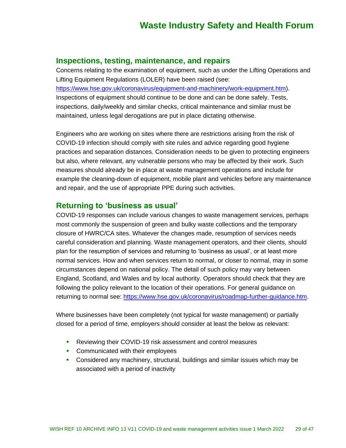#### **Inspections, testing, maintenance, and repairs**

Concerns relating to the examination of equipment, such as under the Lifting Operations and Lifting Equipment Regulations (LOLER) have been raised (see: [https://www.hse.gov.uk/coronavirus/equipment-and-machinery/work-equipment.htm\)](https://www.hse.gov.uk/coronavirus/equipment-and-machinery/work-equipment.htm). Inspections of equipment should continue to be done and can be done safely. Tests, inspections, daily/weekly and similar checks, critical maintenance and similar must be maintained, unless legal derogations are put in place dictating otherwise.

Engineers who are working on sites where there are restrictions arising from the risk of COVID-19 infection should comply with site rules and advice regarding good hygiene practices and separation distances. Consideration needs to be given to protecting engineers but also, where relevant, any vulnerable persons who may be affected by their work. Such measures should already be in place at waste management operations and include for example the cleaning-down of equipment, mobile plant and vehicles before any maintenance and repair, and the use of appropriate PPE during such activities.

#### **Returning to 'business as usual'**

COVID-19 responses can include various changes to waste management services, perhaps most commonly the suspension of green and bulky waste collections and the temporary closure of HWRC/CA sites. Whatever the changes made, resumption of services needs careful consideration and planning. Waste management operators, and their clients, should plan for the resumption of services and returning to 'business as usual', or at least more normal services. How and when services return to normal, or closer to normal, may in some circumstances depend on national policy. The detail of such policy may vary between England, Scotland, and Wales and by local authority. Operators should check that they are following the policy relevant to the location of their operations. For general guidance on returning to normal see: [https://www.hse.gov.uk/coronavirus/roadmap-further-guidance.htm.](https://www.hse.gov.uk/coronavirus/roadmap-further-guidance.htm)

Where businesses have been completely (not typical for waste management) or partially closed for a period of time, employers should consider at least the below as relevant:

- Reviewing their COVID-19 risk assessment and control measures
- Communicated with their employees
- **Considered any machinery, structural, buildings and similar issues which may be** associated with a period of inactivity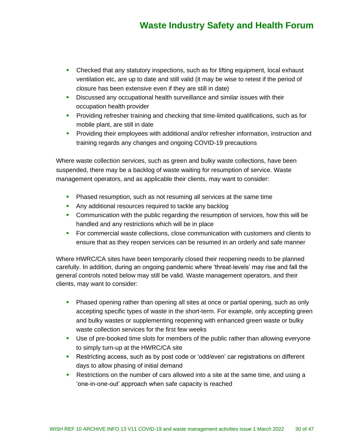- **•** Checked that any statutory inspections, such as for lifting equipment, local exhaust ventilation etc, are up to date and still valid (it may be wise to retest if the period of closure has been extensive even if they are still in date)
- **EXEDENT** Discussed any occupational health surveillance and similar issues with their occupation health provider
- **•** Providing refresher training and checking that time-limited qualifications, such as for mobile plant, are still in date
- **•** Providing their employees with additional and/or refresher information, instruction and training regards any changes and ongoing COVID-19 precautions

Where waste collection services, such as green and bulky waste collections, have been suspended, there may be a backlog of waste waiting for resumption of service. Waste management operators, and as applicable their clients, may want to consider:

- **Phased resumption, such as not resuming all services at the same time**
- **EXECT** Any additional resources required to tackle any backlog
- Communication with the public regarding the resumption of services, how this will be handled and any restrictions which will be in place
- For commercial waste collections, close communication with customers and clients to ensure that as they reopen services can be resumed in an orderly and safe manner

Where HWRC/CA sites have been temporarily closed their reopening needs to be planned carefully. In addition, during an ongoing pandemic where 'threat-levels' may rise and fall the general controls noted below may still be valid. Waste management operators, and their clients, may want to consider:

- **•** Phased opening rather than opening all sites at once or partial opening, such as only accepting specific types of waste in the short-term. For example, only accepting green and bulky wastes or supplementing reopening with enhanced green waste or bulky waste collection services for the first few weeks
- **•** Use of pre-booked time slots for members of the public rather than allowing everyone to simply turn-up at the HWRC/CA site
- **EXECT** Restricting access, such as by post code or 'odd/even' car registrations on different days to allow phasing of initial demand
- **EXECT** Restrictions on the number of cars allowed into a site at the same time, and using a 'one-in-one-out' approach when safe capacity is reached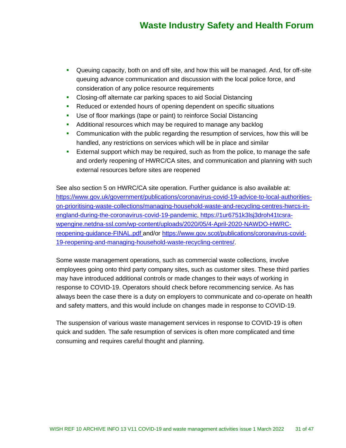- **•** Queuing capacity, both on and off site, and how this will be managed. And, for off-site queuing advance communication and discussion with the local police force, and consideration of any police resource requirements
- Closing-off alternate car parking spaces to aid Social Distancing
- Reduced or extended hours of opening dependent on specific situations
- Use of floor markings (tape or paint) to reinforce Social Distancing
- Additional resources which may be required to manage any backlog
- **Communication with the public regarding the resumption of services, how this will be** handled, any restrictions on services which will be in place and similar
- **External support which may be required, such as from the police, to manage the safe** and orderly reopening of HWRC/CA sites, and communication and planning with such external resources before sites are reopened

See also section 5 on HWRC/CA site operation. Further guidance is also available at: [https://www.gov.uk/government/publications/coronavirus-covid-19-advice-to-local-authorities](https://www.gov.uk/government/publications/coronavirus-covid-19-advice-to-local-authorities-on-prioritising-waste-collections/managing-household-waste-and-recycling-centres-hwrcs-in-england-during-the-coronavirus-covid-19-pandemic)[on-prioritising-waste-collections/managing-household-waste-and-recycling-centres-hwrcs-in](https://www.gov.uk/government/publications/coronavirus-covid-19-advice-to-local-authorities-on-prioritising-waste-collections/managing-household-waste-and-recycling-centres-hwrcs-in-england-during-the-coronavirus-covid-19-pandemic)[england-during-the-coronavirus-covid-19-pandemic,](https://www.gov.uk/government/publications/coronavirus-covid-19-advice-to-local-authorities-on-prioritising-waste-collections/managing-household-waste-and-recycling-centres-hwrcs-in-england-during-the-coronavirus-covid-19-pandemic) [https://1ur6751k3lsj3droh41tcsra](https://1ur6751k3lsj3droh41tcsra-wpengine.netdna-ssl.com/wp-content/uploads/2020/05/4-April-2020-NAWDO-HWRC-reopening-guidance-FINAL.pdf)[wpengine.netdna-ssl.com/wp-content/uploads/2020/05/4-April-2020-NAWDO-HWRC](https://1ur6751k3lsj3droh41tcsra-wpengine.netdna-ssl.com/wp-content/uploads/2020/05/4-April-2020-NAWDO-HWRC-reopening-guidance-FINAL.pdf)[reopening-guidance-FINAL.pdf](https://1ur6751k3lsj3droh41tcsra-wpengine.netdna-ssl.com/wp-content/uploads/2020/05/4-April-2020-NAWDO-HWRC-reopening-guidance-FINAL.pdf) and/or [https://www.gov.scot/publications/coronavirus-covid-](https://www.gov.scot/publications/coronavirus-covid-19-reopening-and-managing-household-waste-recycling-centres/)[19-reopening-and-managing-household-waste-recycling-centres/.](https://www.gov.scot/publications/coronavirus-covid-19-reopening-and-managing-household-waste-recycling-centres/)

Some waste management operations, such as commercial waste collections, involve employees going onto third party company sites, such as customer sites. These third parties may have introduced additional controls or made changes to their ways of working in response to COVID-19. Operators should check before recommencing service. As has always been the case there is a duty on employers to communicate and co-operate on health and safety matters, and this would include on changes made in response to COVID-19.

The suspension of various waste management services in response to COVID-19 is often quick and sudden. The safe resumption of services is often more complicated and time consuming and requires careful thought and planning.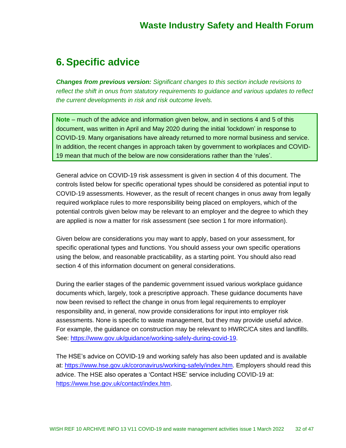## **6.Specific advice**

*Changes from previous version: Significant changes to this section include revisions to reflect the shift in onus from statutory requirements to guidance and various updates to reflect the current developments in risk and risk outcome levels.*

**Note** – much of the advice and information given below, and in sections 4 and 5 of this document, was written in April and May 2020 during the initial 'lockdown' in response to COVID-19. Many organisations have already returned to more normal business and service. In addition, the recent changes in approach taken by government to workplaces and COVID-19 mean that much of the below are now considerations rather than the 'rules'.

General advice on COVID-19 risk assessment is given in section 4 of this document. The controls listed below for specific operational types should be considered as potential input to COVID-19 assessments. However, as the result of recent changes in onus away from legally required workplace rules to more responsibility being placed on employers, which of the potential controls given below may be relevant to an employer and the degree to which they are applied is now a matter for risk assessment (see section 1 for more information).

Given below are considerations you may want to apply, based on your assessment, for specific operational types and functions. You should assess your own specific operations using the below, and reasonable practicability, as a starting point. You should also read section 4 of this information document on general considerations.

During the earlier stages of the pandemic government issued various workplace guidance documents which, largely, took a prescriptive approach. These guidance documents have now been revised to reflect the change in onus from legal requirements to employer responsibility and, in general, now provide considerations for input into employer risk assessments. None is specific to waste management, but they may provide useful advice. For example, the guidance on construction may be relevant to HWRC/CA sites and landfills. See: [https://www.gov.uk/guidance/working-safely-during-covid-19.](https://www.gov.uk/guidance/working-safely-during-covid-19)

The HSE's advice on COVID-19 and working safely has also been updated and is available at: [https://www.hse.gov.uk/coronavirus/working-safely/index.htm.](https://www.hse.gov.uk/coronavirus/working-safely/index.htm) Employers should read this advice. The HSE also operates a 'Contact HSE' service including COVID-19 at: [https://www.hse.gov.uk/contact/index.htm.](https://www.hse.gov.uk/contact/index.htm)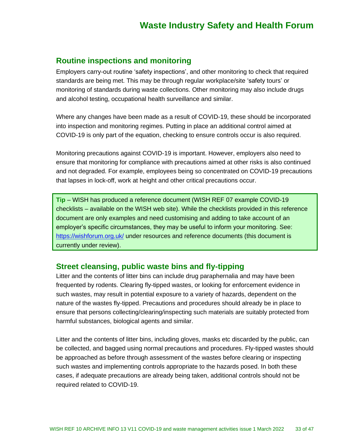### **Routine inspections and monitoring**

Employers carry-out routine 'safety inspections', and other monitoring to check that required standards are being met. This may be through regular workplace/site 'safety tours' or monitoring of standards during waste collections. Other monitoring may also include drugs and alcohol testing, occupational health surveillance and similar.

Where any changes have been made as a result of COVID-19, these should be incorporated into inspection and monitoring regimes. Putting in place an additional control aimed at COVID-19 is only part of the equation, checking to ensure controls occur is also required.

Monitoring precautions against COVID-19 is important. However, employers also need to ensure that monitoring for compliance with precautions aimed at other risks is also continued and not degraded. For example, employees being so concentrated on COVID-19 precautions that lapses in lock-off, work at height and other critical precautions occur.

**Tip** – WISH has produced a reference document (WISH REF 07 example COVID-19 checklists – available on the WISH web site). While the checklists provided in this reference document are only examples and need customising and adding to take account of an employer's specific circumstances, they may be useful to inform your monitoring. See: <https://wishforum.org.uk/> under resources and reference documents (this document is currently under review).

### **Street cleansing, public waste bins and fly-tipping**

Litter and the contents of litter bins can include drug paraphernalia and may have been frequented by rodents. Clearing fly-tipped wastes, or looking for enforcement evidence in such wastes, may result in potential exposure to a variety of hazards, dependent on the nature of the wastes fly-tipped. Precautions and procedures should already be in place to ensure that persons collecting/clearing/inspecting such materials are suitably protected from harmful substances, biological agents and similar.

Litter and the contents of litter bins, including gloves, masks etc discarded by the public, can be collected, and bagged using normal precautions and procedures. Fly-tipped wastes should be approached as before through assessment of the wastes before clearing or inspecting such wastes and implementing controls appropriate to the hazards posed. In both these cases, if adequate precautions are already being taken, additional controls should not be required related to COVID-19.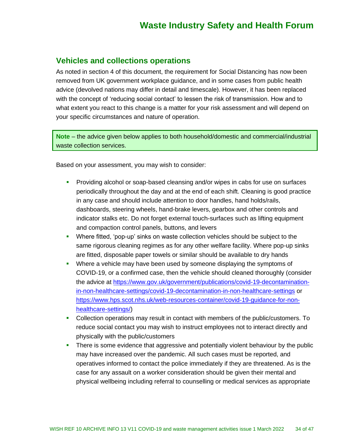#### **Vehicles and collections operations**

As noted in section 4 of this document, the requirement for Social Distancing has now been removed from UK government workplace guidance, and in some cases from public health advice (devolved nations may differ in detail and timescale). However, it has been replaced with the concept of 'reducing social contact' to lessen the risk of transmission. How and to what extent you react to this change is a matter for your risk assessment and will depend on your specific circumstances and nature of operation.

**Note** – the advice given below applies to both household/domestic and commercial/industrial waste collection services.

Based on your assessment, you may wish to consider:

- Providing alcohol or soap-based cleansing and/or wipes in cabs for use on surfaces periodically throughout the day and at the end of each shift. Cleaning is good practice in any case and should include attention to door handles, hand holds/rails, dashboards, steering wheels, hand-brake levers, gearbox and other controls and indicator stalks etc. Do not forget external touch-surfaces such as lifting equipment and compaction control panels, buttons, and levers
- Where fitted, 'pop-up' sinks on waste collection vehicles should be subject to the same rigorous cleaning regimes as for any other welfare facility. Where pop-up sinks are fitted, disposable paper towels or similar should be available to dry hands
- **•** Where a vehicle may have been used by someone displaying the symptoms of COVID-19, or a confirmed case, then the vehicle should cleaned thoroughly (consider the advice at [https://www.gov.uk/government/publications/covid-19-decontamination](https://www.gov.uk/government/publications/covid-19-decontamination-in-non-healthcare-settings/covid-19-decontamination-in-non-healthcare-settings)[in-non-healthcare-settings/covid-19-decontamination-in-non-healthcare-settings](https://www.gov.uk/government/publications/covid-19-decontamination-in-non-healthcare-settings/covid-19-decontamination-in-non-healthcare-settings) or [https://www.hps.scot.nhs.uk/web-resources-container/covid-19-guidance-for-non](https://www.hps.scot.nhs.uk/web-resources-container/covid-19-guidance-for-non-healthcare-settings/)[healthcare-settings/\)](https://www.hps.scot.nhs.uk/web-resources-container/covid-19-guidance-for-non-healthcare-settings/)
- Collection operations may result in contact with members of the public/customers. To reduce social contact you may wish to instruct employees not to interact directly and physically with the public/customers
- **•** There is some evidence that aggressive and potentially violent behaviour by the public may have increased over the pandemic. All such cases must be reported, and operatives informed to contact the police immediately if they are threatened. As is the case for any assault on a worker consideration should be given their mental and physical wellbeing including referral to counselling or medical services as appropriate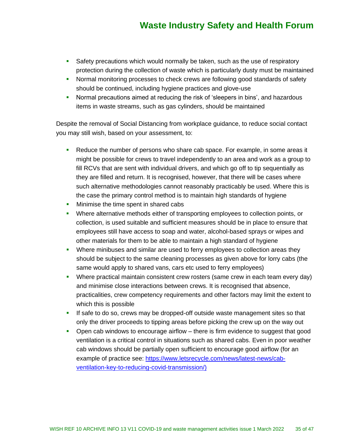- **•** Safety precautions which would normally be taken, such as the use of respiratory protection during the collection of waste which is particularly dusty must be maintained
- **•** Normal monitoring processes to check crews are following good standards of safety should be continued, including hygiene practices and glove-use
- **•** Normal precautions aimed at reducing the risk of 'sleepers in bins', and hazardous items in waste streams, such as gas cylinders, should be maintained

Despite the removal of Social Distancing from workplace guidance, to reduce social contact you may still wish, based on your assessment, to:

- Reduce the number of persons who share cab space. For example, in some areas it might be possible for crews to travel independently to an area and work as a group to fill RCVs that are sent with individual drivers, and which go off to tip sequentially as they are filled and return. It is recognised, however, that there will be cases where such alternative methodologies cannot reasonably practicably be used. Where this is the case the primary control method is to maintain high standards of hygiene
- **•** Minimise the time spent in shared cabs
- Where alternative methods either of transporting employees to collection points, or collection, is used suitable and sufficient measures should be in place to ensure that employees still have access to soap and water, alcohol-based sprays or wipes and other materials for them to be able to maintain a high standard of hygiene
- **•** Where minibuses and similar are used to ferry employees to collection areas they should be subject to the same cleaning processes as given above for lorry cabs (the same would apply to shared vans, cars etc used to ferry employees)
- **•** Where practical maintain consistent crew rosters (same crew in each team every day) and minimise close interactions between crews. It is recognised that absence, practicalities, crew competency requirements and other factors may limit the extent to which this is possible
- **.** If safe to do so, crews may be dropped-off outside waste management sites so that only the driver proceeds to tipping areas before picking the crew up on the way out
- Open cab windows to encourage airflow there is firm evidence to suggest that good ventilation is a critical control in situations such as shared cabs. Even in poor weather cab windows should be partially open sufficient to encourage good airflow (for an example of practice see: [https://www.letsrecycle.com/news/latest-news/cab](https://www.letsrecycle.com/news/latest-news/cab-ventilation-key-to-reducing-covid-transmission/)[ventilation-key-to-reducing-covid-transmission/\)](https://www.letsrecycle.com/news/latest-news/cab-ventilation-key-to-reducing-covid-transmission/)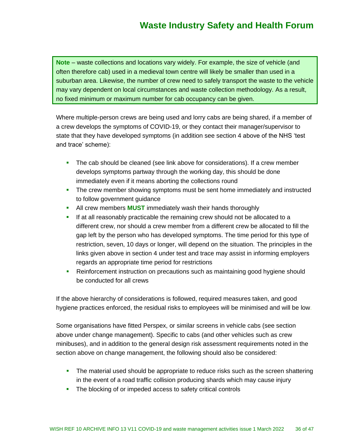**Note** – waste collections and locations vary widely. For example, the size of vehicle (and often therefore cab) used in a medieval town centre will likely be smaller than used in a suburban area. Likewise, the number of crew need to safely transport the waste to the vehicle may vary dependent on local circumstances and waste collection methodology. As a result, no fixed minimum or maximum number for cab occupancy can be given.

Where multiple-person crews are being used and lorry cabs are being shared, if a member of a crew develops the symptoms of COVID-19, or they contact their manager/supervisor to state that they have developed symptoms (in addition see section 4 above of the NHS 'test and trace' scheme):

- **.** The cab should be cleaned (see link above for considerations). If a crew member develops symptoms partway through the working day, this should be done immediately even if it means aborting the collections round
- **•** The crew member showing symptoms must be sent home immediately and instructed to follow government guidance
- **EXECT** All crew members **MUST** immediately wash their hands thoroughly
- **.** If at all reasonably practicable the remaining crew should not be allocated to a different crew, nor should a crew member from a different crew be allocated to fill the gap left by the person who has developed symptoms. The time period for this type of restriction, seven, 10 days or longer, will depend on the situation. The principles in the links given above in section 4 under test and trace may assist in informing employers regards an appropriate time period for restrictions
- **E** Reinforcement instruction on precautions such as maintaining good hygiene should be conducted for all crews

If the above hierarchy of considerations is followed, required measures taken, and good hygiene practices enforced, the residual risks to employees will be minimised and will be low.

Some organisations have fitted Perspex, or similar screens in vehicle cabs (see section above under change management). Specific to cabs (and other vehicles such as crew minibuses), and in addition to the general design risk assessment requirements noted in the section above on change management, the following should also be considered:

- **•** The material used should be appropriate to reduce risks such as the screen shattering in the event of a road traffic collision producing shards which may cause injury
- **•** The blocking of or impeded access to safety critical controls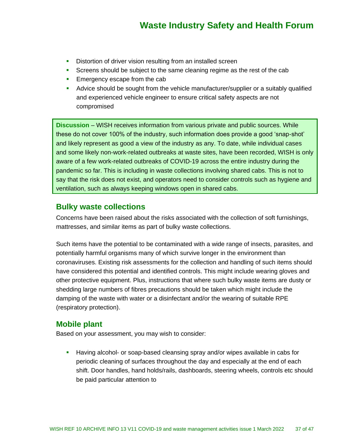- **EXECT:** Distortion of driver vision resulting from an installed screen
- **EXECT** Screens should be subject to the same cleaning regime as the rest of the cab
- **Emergency escape from the cab**
- Advice should be sought from the vehicle manufacturer/supplier or a suitably qualified and experienced vehicle engineer to ensure critical safety aspects are not compromised

**Discussion** – WISH receives information from various private and public sources. While these do not cover 100% of the industry, such information does provide a good 'snap-shot' and likely represent as good a view of the industry as any. To date, while individual cases and some likely non-work-related outbreaks at waste sites, have been recorded, WISH is only aware of a few work-related outbreaks of COVID-19 across the entire industry during the pandemic so far. This is including in waste collections involving shared cabs. This is not to say that the risk does not exist, and operators need to consider controls such as hygiene and ventilation, such as always keeping windows open in shared cabs.

### **Bulky waste collections**

Concerns have been raised about the risks associated with the collection of soft furnishings, mattresses, and similar items as part of bulky waste collections.

Such items have the potential to be contaminated with a wide range of insects, parasites, and potentially harmful organisms many of which survive longer in the environment than coronaviruses. Existing risk assessments for the collection and handling of such items should have considered this potential and identified controls. This might include wearing gloves and other protective equipment. Plus, instructions that where such bulky waste items are dusty or shedding large numbers of fibres precautions should be taken which might include the damping of the waste with water or a disinfectant and/or the wearing of suitable RPE (respiratory protection).

### **Mobile plant**

Based on your assessment, you may wish to consider:

**E** Having alcohol- or soap-based cleansing spray and/or wipes available in cabs for periodic cleaning of surfaces throughout the day and especially at the end of each shift. Door handles, hand holds/rails, dashboards, steering wheels, controls etc should be paid particular attention to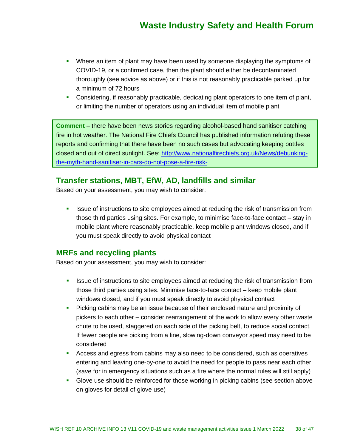- Where an item of plant may have been used by someone displaying the symptoms of COVID-19, or a confirmed case, then the plant should either be decontaminated thoroughly (see advice as above) or if this is not reasonably practicable parked up for a minimum of 72 hours
- **•** Considering, if reasonably practicable, dedicating plant operators to one item of plant, or limiting the number of operators using an individual item of mobile plant

**Comment** – there have been news stories regarding alcohol-based hand sanitiser catching fire in hot weather. The National Fire Chiefs Council has published information refuting these reports and confirming that there have been no such cases but advocating keeping bottles closed and out of direct sunlight. See: [http://www.nationalfirechiefs.org.uk/News/debunking](http://www.nationalfirechiefs.org.uk/News/debunking-the-myth-hand-sanitiser-in-cars-do-not-pose-a-fire-risk-)[the-myth-hand-sanitiser-in-cars-do-not-pose-a-fire-risk-](http://www.nationalfirechiefs.org.uk/News/debunking-the-myth-hand-sanitiser-in-cars-do-not-pose-a-fire-risk-)

### **Transfer stations, MBT, EfW, AD, landfills and similar**

Based on your assessment, you may wish to consider:

**EXECT** Issue of instructions to site employees aimed at reducing the risk of transmission from those third parties using sites. For example, to minimise face-to-face contact – stay in mobile plant where reasonably practicable, keep mobile plant windows closed, and if you must speak directly to avoid physical contact

### **MRFs and recycling plants**

Based on your assessment, you may wish to consider:

- **EXECT** ISSUE of instructions to site employees aimed at reducing the risk of transmission from those third parties using sites. Minimise face-to-face contact – keep mobile plant windows closed, and if you must speak directly to avoid physical contact
- **•** Picking cabins may be an issue because of their enclosed nature and proximity of pickers to each other – consider rearrangement of the work to allow every other waste chute to be used, staggered on each side of the picking belt, to reduce social contact. If fewer people are picking from a line, slowing-down conveyor speed may need to be considered
- Access and egress from cabins may also need to be considered, such as operatives entering and leaving one-by-one to avoid the need for people to pass near each other (save for in emergency situations such as a fire where the normal rules will still apply)
- **•** Glove use should be reinforced for those working in picking cabins (see section above on gloves for detail of glove use)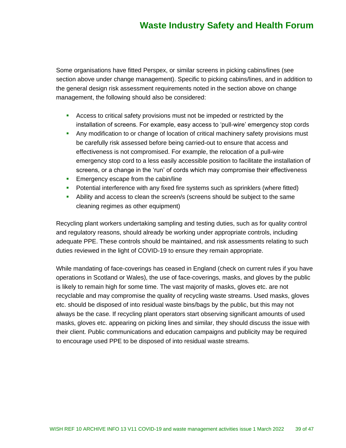Some organisations have fitted Perspex, or similar screens in picking cabins/lines (see section above under change management). Specific to picking cabins/lines, and in addition to the general design risk assessment requirements noted in the section above on change management, the following should also be considered:

- **EXECOSE S** to critical safety provisions must not be impeded or restricted by the installation of screens. For example, easy access to 'pull-wire' emergency stop cords
- **Any modification to or change of location of critical machinery safety provisions must** be carefully risk assessed before being carried-out to ensure that access and effectiveness is not compromised. For example, the relocation of a pull-wire emergency stop cord to a less easily accessible position to facilitate the installation of screens, or a change in the 'run' of cords which may compromise their effectiveness
- **Emergency escape from the cabin/line**
- **•** Potential interference with any fixed fire systems such as sprinklers (where fitted)
- **•** Ability and access to clean the screen/s (screens should be subject to the same cleaning regimes as other equipment)

Recycling plant workers undertaking sampling and testing duties, such as for quality control and regulatory reasons, should already be working under appropriate controls, including adequate PPE. These controls should be maintained, and risk assessments relating to such duties reviewed in the light of COVID-19 to ensure they remain appropriate.

While mandating of face-coverings has ceased in England (check on current rules if you have operations in Scotland or Wales), the use of face-coverings, masks, and gloves by the public is likely to remain high for some time. The vast majority of masks, gloves etc. are not recyclable and may compromise the quality of recycling waste streams. Used masks, gloves etc. should be disposed of into residual waste bins/bags by the public, but this may not always be the case. If recycling plant operators start observing significant amounts of used masks, gloves etc. appearing on picking lines and similar, they should discuss the issue with their client. Public communications and education campaigns and publicity may be required to encourage used PPE to be disposed of into residual waste streams.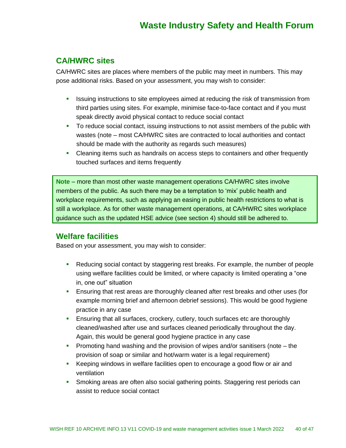### **CA/HWRC sites**

CA/HWRC sites are places where members of the public may meet in numbers. This may pose additional risks. Based on your assessment, you may wish to consider:

- **.** Issuing instructions to site employees aimed at reducing the risk of transmission from third parties using sites. For example, minimise face-to-face contact and if you must speak directly avoid physical contact to reduce social contact
- **•** To reduce social contact, issuing instructions to not assist members of the public with wastes (note – most CA/HWRC sites are contracted to local authorities and contact should be made with the authority as regards such measures)
- **•** Cleaning items such as handrails on access steps to containers and other frequently touched surfaces and items frequently

**Note** – more than most other waste management operations CA/HWRC sites involve members of the public. As such there may be a temptation to 'mix' public health and workplace requirements, such as applying an easing in public health restrictions to what is still a workplace. As for other waste management operations, at CA/HWRC sites workplace guidance such as the updated HSE advice (see section 4) should still be adhered to.

### **Welfare facilities**

Based on your assessment, you may wish to consider:

- Reducing social contact by staggering rest breaks. For example, the number of people using welfare facilities could be limited, or where capacity is limited operating a "one in, one out" situation
- **Ensuring that rest areas are thoroughly cleaned after rest breaks and other uses (for** example morning brief and afternoon debrief sessions). This would be good hygiene practice in any case
- **Ensuring that all surfaces, crockery, cutlery, touch surfaces etc are thoroughly** cleaned/washed after use and surfaces cleaned periodically throughout the day. Again, this would be general good hygiene practice in any case
- **Promoting hand washing and the provision of wipes and/or sanitisers (note the** provision of soap or similar and hot/warm water is a legal requirement)
- Keeping windows in welfare facilities open to encourage a good flow or air and ventilation
- **•** Smoking areas are often also social gathering points. Staggering rest periods can assist to reduce social contact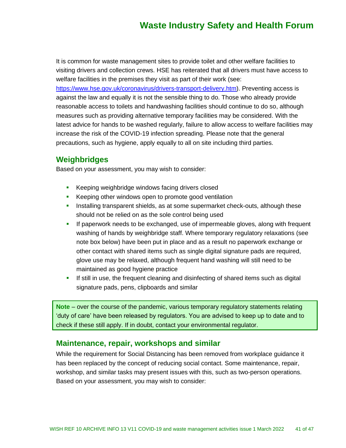It is common for waste management sites to provide toilet and other welfare facilities to visiting drivers and collection crews. HSE has reiterated that all drivers must have access to welfare facilities in the premises they visit as part of their work (see:

[https://www.hse.gov.uk/coronavirus/drivers-transport-delivery.htm\)](https://www.hse.gov.uk/coronavirus/drivers-transport-delivery.htm). Preventing access is against the law and equally it is not the sensible thing to do. Those who already provide reasonable access to toilets and handwashing facilities should continue to do so, although measures such as providing alternative temporary facilities may be considered. With the latest advice for hands to be washed regularly, failure to allow access to welfare facilities may increase the risk of the COVID-19 infection spreading. Please note that the general precautions, such as hygiene, apply equally to all on site including third parties.

### **Weighbridges**

Based on your assessment, you may wish to consider:

- Keeping weighbridge windows facing drivers closed
- Keeping other windows open to promote good ventilation
- **EXECT** Installing transparent shields, as at some supermarket check-outs, although these should not be relied on as the sole control being used
- **EXP** If paperwork needs to be exchanged, use of impermeable gloves, along with frequent washing of hands by weighbridge staff. Where temporary regulatory relaxations (see note box below) have been put in place and as a result no paperwork exchange or other contact with shared items such as single digital signature pads are required, glove use may be relaxed, although frequent hand washing will still need to be maintained as good hygiene practice
- **.** If still in use, the frequent cleaning and disinfecting of shared items such as digital signature pads, pens, clipboards and similar

**Note** – over the course of the pandemic, various temporary regulatory statements relating 'duty of care' have been released by regulators. You are advised to keep up to date and to check if these still apply. If in doubt, contact your environmental regulator.

### **Maintenance, repair, workshops and similar**

While the requirement for Social Distancing has been removed from workplace guidance it has been replaced by the concept of reducing social contact. Some maintenance, repair, workshop, and similar tasks may present issues with this, such as two-person operations. Based on your assessment, you may wish to consider: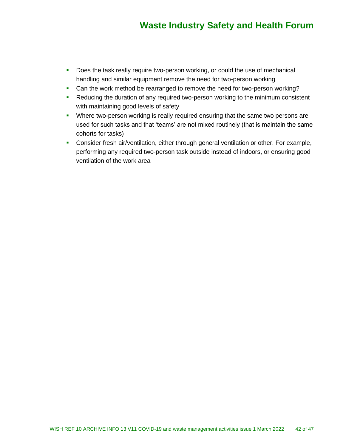- **•** Does the task really require two-person working, or could the use of mechanical handling and similar equipment remove the need for two-person working
- Can the work method be rearranged to remove the need for two-person working?
- Reducing the duration of any required two-person working to the minimum consistent with maintaining good levels of safety
- **•** Where two-person working is really required ensuring that the same two persons are used for such tasks and that 'teams' are not mixed routinely (that is maintain the same cohorts for tasks)
- Consider fresh air/ventilation, either through general ventilation or other. For example, performing any required two-person task outside instead of indoors, or ensuring good ventilation of the work area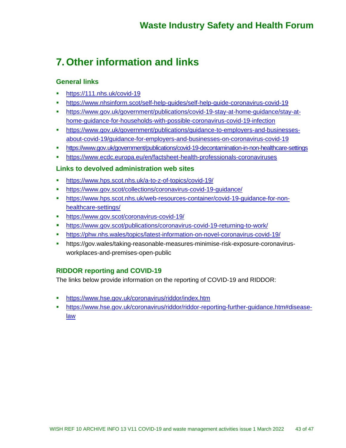## **7. Other information and links**

#### **General links**

- <https://111.nhs.uk/covid-19>
- <https://www.nhsinform.scot/self-help-guides/self-help-guide-coronavirus-covid-19>
- [https://www.gov.uk/government/publications/covid-19-stay-at-home-guidance/stay-at](https://www.gov.uk/government/publications/covid-19-stay-at-home-guidance/stay-at-home-guidance-for-households-with-possible-coronavirus-covid-19-infection)[home-guidance-for-households-with-possible-coronavirus-covid-19-infection](https://www.gov.uk/government/publications/covid-19-stay-at-home-guidance/stay-at-home-guidance-for-households-with-possible-coronavirus-covid-19-infection)
- [https://www.gov.uk/government/publications/guidance-to-employers-and-businesses](https://www.gov.uk/government/publications/guidance-to-employers-and-businesses-about-covid-19/guidance-for-employers-and-businesses-on-coronavirus-covid-19)[about-covid-19/guidance-for-employers-and-businesses-on-coronavirus-covid-19](https://www.gov.uk/government/publications/guidance-to-employers-and-businesses-about-covid-19/guidance-for-employers-and-businesses-on-coronavirus-covid-19)
- <https://www.gov.uk/government/publications/covid-19-decontamination-in-non-healthcare-settings>
- <https://www.ecdc.europa.eu/en/factsheet-health-professionals-coronaviruses>

#### **Links to devolved administration web sites**

- <https://www.hps.scot.nhs.uk/a-to-z-of-topics/covid-19/>
- <https://www.gov.scot/collections/coronavirus-covid-19-guidance/>
- [https://www.hps.scot.nhs.uk/web-resources-container/covid-19-guidance-for-non](https://www.hps.scot.nhs.uk/web-resources-container/covid-19-guidance-for-non-healthcare-settings/)[healthcare-settings/](https://www.hps.scot.nhs.uk/web-resources-container/covid-19-guidance-for-non-healthcare-settings/)
- <https://www.gov.scot/coronavirus-covid-19/>
- <https://www.gov.scot/publications/coronavirus-covid-19-returning-to-work/>
- <https://phw.nhs.wales/topics/latest-information-on-novel-coronavirus-covid-19/>
- https://gov.wales/taking-reasonable-measures-minimise-risk-exposure-coronavirusworkplaces-and-premises-open-public

### **RIDDOR reporting and COVID-19**

The links below provide information on the reporting of COVID-19 and RIDDOR:

- **•** <https://www.hse.gov.uk/coronavirus/riddor/index.htm>
- [https://www.hse.gov.uk/coronavirus/riddor/riddor-reporting-further-guidance.htm#disease](https://www.hse.gov.uk/coronavirus/riddor/riddor-reporting-further-guidance.htm#disease-law)[law](https://www.hse.gov.uk/coronavirus/riddor/riddor-reporting-further-guidance.htm#disease-law)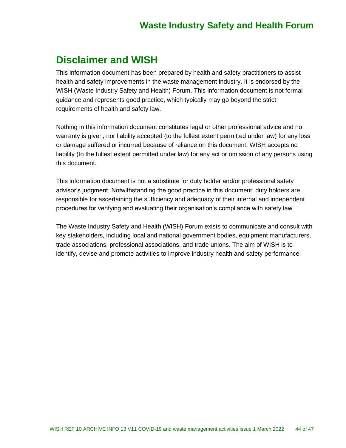## **Disclaimer and WISH**

This information document has been prepared by health and safety practitioners to assist health and safety improvements in the waste management industry. It is endorsed by the WISH (Waste Industry Safety and Health) Forum. This information document is not formal guidance and represents good practice, which typically may go beyond the strict requirements of health and safety law.

Nothing in this information document constitutes legal or other professional advice and no warranty is given, nor liability accepted (to the fullest extent permitted under law) for any loss or damage suffered or incurred because of reliance on this document. WISH accepts no liability (to the fullest extent permitted under law) for any act or omission of any persons using this document.

This information document is not a substitute for duty holder and/or professional safety advisor's judgment, Notwithstanding the good practice in this document, duty holders are responsible for ascertaining the sufficiency and adequacy of their internal and independent procedures for verifying and evaluating their organisation's compliance with safety law.

The Waste Industry Safety and Health (WISH) Forum exists to communicate and consult with key stakeholders, including local and national government bodies, equipment manufacturers, trade associations, professional associations, and trade unions. The aim of WISH is to identify, devise and promote activities to improve industry health and safety performance.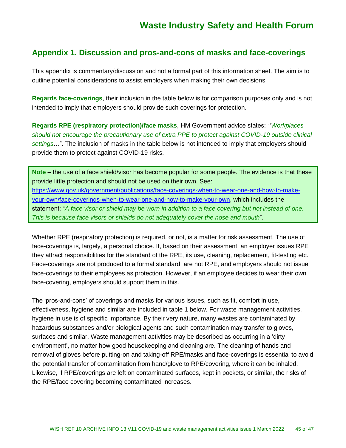### **Appendix 1. Discussion and pros-and-cons of masks and face-coverings**

This appendix is commentary/discussion and not a formal part of this information sheet. The aim is to outline potential considerations to assist employers when making their own decisions.

**Regards face-coverings**, their inclusion in the table below is for comparison purposes only and is not intended to imply that employers should provide such coverings for protection.

**Regards RPE (respiratory protection)/face masks**, HM Government advice states: "'*Workplaces should not encourage the precautionary use of extra PPE to protect against COVID-19 outside clinical settings*…". The inclusion of masks in the table below is not intended to imply that employers should provide them to protect against COVID-19 risks.

**Note** – the use of a face shield/visor has become popular for some people. The evidence is that these provide little protection and should not be used on their own. See: [https://www.gov.uk/government/publications/face-coverings-when-to-wear-one-and-how-to-make](https://www.gov.uk/government/publications/face-coverings-when-to-wear-one-and-how-to-make-your-own/face-coverings-when-to-wear-one-and-how-to-make-your-own)[your-own/face-coverings-when-to-wear-one-and-how-to-make-your-own,](https://www.gov.uk/government/publications/face-coverings-when-to-wear-one-and-how-to-make-your-own/face-coverings-when-to-wear-one-and-how-to-make-your-own) which includes the statement: "*A face visor or shield may be worn in addition to a face covering but not instead of one. This is because face visors or shields do not adequately cover the nose and mouth*".

Whether RPE (respiratory protection) is required, or not, is a matter for risk assessment. The use of face-coverings is, largely, a personal choice. If, based on their assessment, an employer issues RPE they attract responsibilities for the standard of the RPE, its use, cleaning, replacement, fit-testing etc. Face-coverings are not produced to a formal standard, are not RPE, and employers should not issue face-coverings to their employees as protection. However, if an employee decides to wear their own face-covering, employers should support them in this.

The 'pros-and-cons' of coverings and masks for various issues, such as fit, comfort in use, effectiveness, hygiene and similar are included in table 1 below. For waste management activities, hygiene in use is of specific importance. By their very nature, many wastes are contaminated by hazardous substances and/or biological agents and such contamination may transfer to gloves, surfaces and similar. Waste management activities may be described as occurring in a 'dirty environment', no matter how good housekeeping and cleaning are. The cleaning of hands and removal of gloves before putting-on and taking-off RPE/masks and face-coverings is essential to avoid the potential transfer of contamination from hand/glove to RPE/covering, where it can be inhaled. Likewise, if RPE/coverings are left on contaminated surfaces, kept in pockets, or similar, the risks of the RPE/face covering becoming contaminated increases.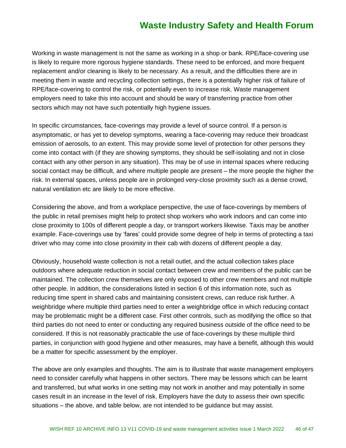Working in waste management is not the same as working in a shop or bank. RPE/face-covering use is likely to require more rigorous hygiene standards. These need to be enforced, and more frequent replacement and/or cleaning is likely to be necessary. As a result, and the difficulties there are in meeting them in waste and recycling collection settings, there is a potentially higher risk of failure of RPE/face-covering to control the risk, or potentially even to increase risk. Waste management employers need to take this into account and should be wary of transferring practice from other sectors which may not have such potentially high hygiene issues.

In specific circumstances, face-coverings may provide a level of source control. If a person is asymptomatic, or has yet to develop symptoms, wearing a face-covering may reduce their broadcast emission of aerosols, to an extent. This may provide some level of protection for other persons they come into contact with (if they are showing symptoms, they should be self-isolating and not in close contact with any other person in any situation). This may be of use in internal spaces where reducing social contact may be difficult, and where multiple people are present – the more people the higher the risk. In external spaces, unless people are in prolonged very-close proximity such as a dense crowd, natural ventilation etc are likely to be more effective.

Considering the above, and from a workplace perspective, the use of face-coverings by members of the public in retail premises might help to protect shop workers who work indoors and can come into close proximity to 100s of different people a day, or transport workers likewise. Taxis may be another example. Face-coverings use by 'fares' could provide some degree of help in terms of protecting a taxi driver who may come into close proximity in their cab with dozens of different people a day.

Obviously, household waste collection is not a retail outlet, and the actual collection takes place outdoors where adequate reduction in social contact between crew and members of the public can be maintained. The collection crew themselves are only exposed to other crew members and not multiple other people. In addition, the considerations listed in section 6 of this information note, such as reducing time spent in shared cabs and maintaining consistent crews, can reduce risk further. A weighbridge where multiple third parties need to enter a weighbridge office in which reducing contact may be problematic might be a different case. First other controls, such as modifying the office so that third parties do not need to enter or conducting any required business outside of the office need to be considered. If this is not reasonably practicable the use of face-coverings by these multiple third parties, in conjunction with good hygiene and other measures, may have a benefit, although this would be a matter for specific assessment by the employer.

The above are only examples and thoughts. The aim is to illustrate that waste management employers need to consider carefully what happens in other sectors. There may be lessons which can be learnt and transferred, but what works in one setting may not work in another and may potentially in some cases result in an increase in the level of risk. Employers have the duty to assess their own specific situations – the above, and table below, are not intended to be guidance but may assist.